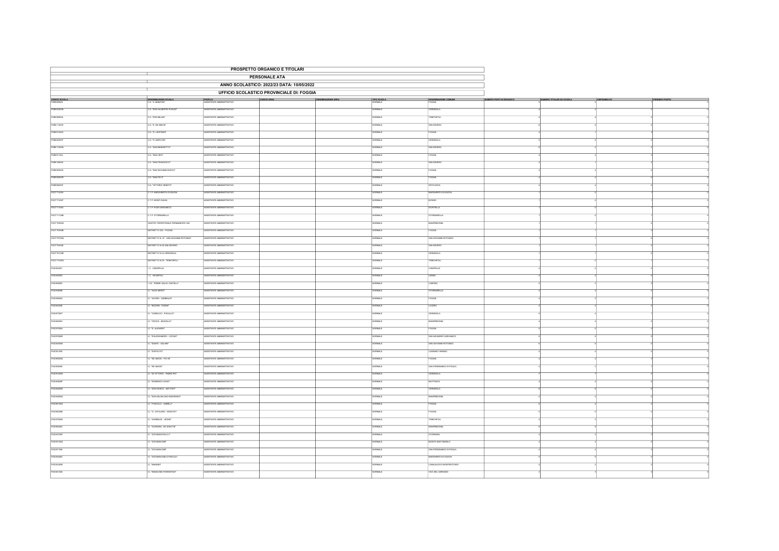| PROSPETTO ORGANICO E TITOLARI             |                                       |                                  |                                                                                                                                                                                                                                     |  |                   |                          |  |  |  |
|-------------------------------------------|---------------------------------------|----------------------------------|-------------------------------------------------------------------------------------------------------------------------------------------------------------------------------------------------------------------------------------|--|-------------------|--------------------------|--|--|--|
| <b>PERSONALE ATA</b>                      |                                       |                                  |                                                                                                                                                                                                                                     |  |                   |                          |  |  |  |
| ANNO SCOLASTICO: 2022/23 DATA: 10/05/2022 |                                       |                                  |                                                                                                                                                                                                                                     |  |                   |                          |  |  |  |
|                                           |                                       |                                  | <b>UFFICIO SCOLASTICO PROVINCIALE DI: FOGGIA</b>                                                                                                                                                                                    |  |                   |                          |  |  |  |
| CODICE SCUOLA                             | DENOMINAZIONE SCUOLA                  |                                  | <b>PROFILO PROTECTIVO CONCERREA CONCERREA CONFIDENTAREA DE ACONOMIA AREA</b> TERO ECONOLA CONFIDENTE A CONFIDENCIA CONFIDENTAREA CONFIDENTE A CONFIDENTE A CONFIDENTE A CONFIDENTE A CONFIDENTE ANNIVERSITY OF THE CONFIDENTIAL CON |  |                   |                          |  |  |  |
|                                           |                                       |                                  |                                                                                                                                                                                                                                     |  |                   |                          |  |  |  |
| FGEE03200N                                | CD. TOON GIUSEPPE PUGLIST             | SSISTENTE AMMNISTRATIVO          |                                                                                                                                                                                                                                     |  | ORMALE            | <b>ERIGNOLA</b>          |  |  |  |
| FGEE099004                                | C.D. TOON MILANT                      | SSISTENTE AMMNISTRATIVO          |                                                                                                                                                                                                                                     |  | <b>ORMALE</b>     | <b>RINITAPOLI</b>        |  |  |  |
| FGEE112009                                | C.D. "E. DE AMOS"                     | ASSISTENTE AMMINISTRATIVO        |                                                                                                                                                                                                                                     |  | NORMALE           | SAN SEVERO               |  |  |  |
| FGEE01200C                                | C.D. "G. LEOPARDE                     | SSISTENTE AMMINISTRATIVO         |                                                                                                                                                                                                                                     |  | RMALL             |                          |  |  |  |
| FGEE02900T                                | D. G. MARCONT                         | SSISTENTE AMMNISTRATIVO          |                                                                                                                                                                                                                                     |  | ORMALE            | CERIGNOLA                |  |  |  |
| FGEE11000N                                | D. "SAN BENEDETTO"                    | SISTENTE AMMINISTRATIVO          |                                                                                                                                                                                                                                     |  | <b>RMALE</b>      | SAN SEVERO               |  |  |  |
| FGEED1100L                                | CD. "SAN CRO"                         | SSISTENTE AMMNISTRATIVO          |                                                                                                                                                                                                                                     |  | NORMALE           | <b>FOGGIA</b>            |  |  |  |
| FGEE106002                                | D. "SAN FRANCESCO"                    | SSISTENTE AMMINISTRATIVO         |                                                                                                                                                                                                                                     |  | <b>JRMALE</b>     | SAN SEVERO               |  |  |  |
| FGEE005009                                | .<br>D. "SAN GIOVANNI BOSCO"          | SSISTENTE AMMINISTRATIVO         |                                                                                                                                                                                                                                     |  | ORMALE            | <b>CGGA</b>              |  |  |  |
| FGEEDDBOOR                                | $D.$ "SAN PIO $X$ "                   | SISTENTE AMMINISTRATIVO          |                                                                                                                                                                                                                                     |  | <b>TAME</b>       | OGGIA                    |  |  |  |
| FGEEOSCOT                                 | C.D. "WITCRO VENETO"                  | ASSISTENTE AMMNISTRATIVO         |                                                                                                                                                                                                                                     |  | <b>CORMALE</b>    | <b>ORTANOVA</b>          |  |  |  |
| FGCT71400V                                | .<br>T.P. MARCHERITA DI SAVOIA        | ASSSTENTE AMMUSTRATIVO           |                                                                                                                                                                                                                                     |  | news <sup>1</sup> | MARCHERITA DI SAVOIA     |  |  |  |
| FGCT712007                                | T.P. MONTI DAUNE                      | SSSTENTE AMMNSTRATIVO            |                                                                                                                                                                                                                                     |  | <b>SAMPION</b>    | <b>BOVING</b>            |  |  |  |
| FGCT713003                                | T.P. RODI GARGANICO                   | SSISTENTE AMMINISTRATIVO         |                                                                                                                                                                                                                                     |  | ORMALE            | CHITELLA                 |  |  |  |
| FGCT71100B                                | <b>CTP. STORNARELLA</b>               | SSISTENTE AMMINISTRATIVO         |                                                                                                                                                                                                                                     |  | NORMALE           | <b>STORNARELLA</b>       |  |  |  |
| FGCT70800G                                | CENTRO TERRITORIALE PERMANENTE 029    | <b>CONTENTE AMMORTRATIVO</b>     |                                                                                                                                                                                                                                     |  | <b>CONALE</b>     | MANFREDONIA              |  |  |  |
| FGCT70900B                                | DISTRETTO 032 - FOGGIA                | SSISTENTE AMMNISTRATIVO          |                                                                                                                                                                                                                                     |  | <b>SIMMO</b>      | <b>CGGA</b>              |  |  |  |
| FGCT70700Q                                | ISTRETTO N. 27 - SAN GIOVANNI ROTONDO | SSISTENTE AMMNISTRATIVO          |                                                                                                                                                                                                                                     |  | ORMALE            | SAN GIOVANNI ROTONO      |  |  |  |
| FGCT704008                                | ISTRETTO N.26 SAN SEVERO              | SSISTENTE AMMNISTRATIVO          |                                                                                                                                                                                                                                     |  | <b>VORMALE</b>    | SAN SEVERO               |  |  |  |
| FGCT70100R                                | <b>DISTRETTO N.34 CERIGNOLA</b>       | <b>CONTENTE AMMORTRATIVO</b>     |                                                                                                                                                                                                                                     |  | <b>STANDAR</b>    | CERIONOLA                |  |  |  |
| FGCT71000G                                | STRETTO N.35 - TRINITAPOLI            | SISTENTE AMMINISTRATIVO          |                                                                                                                                                                                                                                     |  | <b>CRMALE</b>     | RNITAPOLI                |  |  |  |
| FGC822001                                 | CANAPELLE                             | SSISTENTE AMMINISTRATIVO         |                                                                                                                                                                                                                                     |  | ORMALE            | <b>ANAPELLE</b>          |  |  |  |
| FGC82500C                                 | . VANAPOLI                            | SSISTENTE AMMINISTRATIVO         |                                                                                                                                                                                                                                     |  | ORMALE            | LESINA                   |  |  |  |
| FGIC806003                                | OC. TRADRE GIULIO CASTELLI"           | SSISTENTE AMMINISTRATIVO         |                                                                                                                                                                                                                                     |  | ORMALE            | CARPINO                  |  |  |  |
|                                           |                                       |                                  |                                                                                                                                                                                                                                     |  |                   |                          |  |  |  |
| FGIC83800E                                | "ALDO MORO"                           | SISTENTE AMMINISTRATIVO          |                                                                                                                                                                                                                                     |  | ш                 | <b>CIGNASELLA</b>        |  |  |  |
| FGIC858004                                | .<br>WEBB-GARBALDE                    | SSISTENTE AMMNISTRATIVO          |                                                                                                                                                                                                                                     |  | ORMALE            | FOGGIA                   |  |  |  |
| FGIC842006                                | TBOZZNI - FASANT                      | SSISTENTE AMMNISTRATIVO          |                                                                                                                                                                                                                                     |  | ORMALE            | LUCERA                   |  |  |  |
| FGIC87300T                                | C. YGARDINGGI, PAGELLOT               | <b>CATERITY AMANETRATIVO</b>     |                                                                                                                                                                                                                                     |  | <b>SAMPON</b>     | <b>CERIGNOLA</b>         |  |  |  |
| FGIC86500V                                | C. "CROCE - MOZZLLO"                  | SSISTENTE AMMINISTRATIVO         |                                                                                                                                                                                                                                     |  | ORMALE            | <b>MANFREDONIA</b>       |  |  |  |
| FGIC87000A                                | IC. D. AUGHERT                        | ASSISTENTE AMMINISTRATIVO        |                                                                                                                                                                                                                                     |  | NORMALE           | FOGGIA                   |  |  |  |
| FGCarscon                                 | TALESSANDRO - VOCINOT                 | SSISTENTE AMMINISTRATIVO         |                                                                                                                                                                                                                                     |  | ORMALE            | SAN NICANDRO GARGANICO   |  |  |  |
| FGIC84500N                                | C. THATE - GALIANT                    | SSISTENTE AMMINISTRATIVO         |                                                                                                                                                                                                                                     |  | SAMRO             | SAN GIOVANNI ROTONDO     |  |  |  |
| FGIC821005                                | C. D'APOLITO"                         | <b>ISSISTENTE AMMINISTRATIVO</b> |                                                                                                                                                                                                                                     |  | <b>CORMALE</b>    | CACINANO VARANO          |  |  |  |
| FGIC86000Q                                | C. "DE AMCIS - PIO XII"               | ASSISTENTE AMMINISTRATIVO        |                                                                                                                                                                                                                                     |  | NORMALE           | FOGGIA                   |  |  |  |
| FGICassoca                                | . DE AMCS"                            | SSISTENTE AMMNISTRATIVO          |                                                                                                                                                                                                                                     |  | ORMALE            | SAN FERDINANDO DI PUGLIA |  |  |  |
| FGIC87400N                                | C. "DIVITTORIO - PADRE PIO"           | SSISTENTE AMMNISTRATIVO          |                                                                                                                                                                                                                                     |  | <b>SAMPLE</b>     | ERIGNOLA                 |  |  |  |
| FGIC80800P                                | C. "DOMENCO SAVIO"                    | SSISTENTE AMMINISTRATIVO         |                                                                                                                                                                                                                                     |  | ORMALE            | MATTINATA                |  |  |  |
| FGIC84600D                                | C. "DON BOSCO - BATTISTI"             | SSISTENTE AMMNISTRATIVO          |                                                                                                                                                                                                                                     |  | NORMALE           | CERIGNOLA                |  |  |  |
| FGIC82900Q                                | C. TOON MILANI UNO+MAIORANO"          | SSISTENTE AMMNISTRATIVO          |                                                                                                                                                                                                                                     |  | VORMALE           | MANFREDONIA              |  |  |  |
| FGIC86100G                                | 70500LO - GABELLE                     | SSISTENTE AMMINISTRATIVO         |                                                                                                                                                                                                                                     |  | ORMALE            | <b>CGGA</b>              |  |  |  |
| FGIC86200B                                | C. "G. CATALANO - MOSCATI"            | SSISTENTE AMMINISTRATIVO         |                                                                                                                                                                                                                                     |  | <b>VORMALE</b>    | <b>OGGIA</b>             |  |  |  |
| FGIC87500D                                | "GARBALDI - LEONE"                    | SSISTENTE AMMNISTRATIVO          |                                                                                                                                                                                                                                     |  | <b>JRMAL</b>      | <b>FRINTAPOL</b>         |  |  |  |
| FGIC864003                                | C. "GIORDANI - DE SANCTIS"            | <b>SSISTENTE AMMINISTRATIVO</b>  |                                                                                                                                                                                                                                     |  | <b>STANDAR</b>    | MANFREDONA               |  |  |  |
| FGC83700P                                 | TGIOVANNI PAOLO F                     | SISTENTE AMMINISTRATIVO          |                                                                                                                                                                                                                                     |  | <b>SAMKE</b>      | <b>TORNARA</b>           |  |  |  |
| FGC83100Q                                 | C. "GIOVANNI XXII"                    | SSISTENTE AMMNISTRATIVO          |                                                                                                                                                                                                                                     |  | CRMALE            | MONTE SANTANGELO         |  |  |  |
| FGIC871006                                | .<br>C. "GIOVANNI XXII"               | <b>ISSISTENTE AMMINISTRATIVO</b> |                                                                                                                                                                                                                                     |  | OBMA F            | SAN FERDINANDO DI PUGLIA |  |  |  |
| FGIC85400C                                | C. "GIOVANNI XXII-G.PASCOLI"          | SSISTENTE AMMINISTRATIVO         |                                                                                                                                                                                                                                     |  | <b>SAMRO</b>      | MARGHERITA DI SAVOIA     |  |  |  |
| FGC82300R                                 | "MANDES"                              | SSISTENTE AMMNISTRATIVO          |                                                                                                                                                                                                                                     |  |                   |                          |  |  |  |
|                                           |                                       |                                  |                                                                                                                                                                                                                                     |  | <b>SAMK</b>       | ASALNUOVO MONTEROTARO    |  |  |  |
| FGIC84100A                                | C. TAANICONE-FIORENTINO*              | ASSISTENTE AMMINISTRATIVO        |                                                                                                                                                                                                                                     |  | <b>CORMALE</b>    | VICO DEL GARGANO         |  |  |  |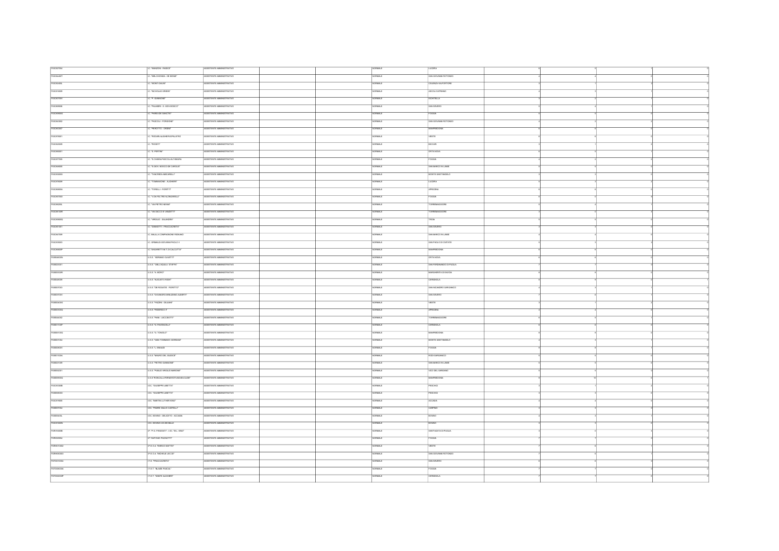| FGIC827004        | . WANZON - RADICE*                   | ASSISTENTE AMMINISTRATIVO | VORMALE        | LUCERA                    |  |  |
|-------------------|--------------------------------------|---------------------------|----------------|---------------------------|--|--|
| FGIC84400T        | TWELCHIONDA - DE BONS"               | SSISTENTE AMMINISTRATIVO  | <b>SAMRO</b>   | SAN GIOVANNI ROTONDO      |  |  |
|                   |                                      |                           |                |                           |  |  |
| FGIC82400L        | C. WONTI DAUNT                       | ASSISTENTE AMMINISTRATIVO | ORMALE         | CELENZA VALFORTORE        |  |  |
| FGICatacco        | . NICHOLAS GREEN"                    | ASSISTENTE AMMINISTRATIVO | NORMALE        | ASCOLI SATRIANO           |  |  |
| FGIC80700V        | C. P. GIANNONE"                      | SSSTENTE AMMNISTRATIVO    | RMAL           | CHITELLA                  |  |  |
| FGC889006         | C. PALMERI - S. GIOV.BOSCO"          | ASSISTENTE AMMINISTRATIVO | NORMALE        | SAN SEVERO                |  |  |
| FGIC85900G        | . PARISIDE SANCTIS"                  | ASSISTENTE AMMINISTRATIVO | NORMALE        | FOGGIA                    |  |  |
| FGIC843002        | . PASCOLI - FORGIONE*                | ASSISTENTE AMMINISTRATIVO | <b>STARION</b> | SAN GIOVANNI ROTONDO      |  |  |
|                   |                                      |                           |                |                           |  |  |
| FGC863007         | . PEROTTO - ORSN'T                   | ASSISTENTE AMMINISTRATIVO | ORMALE         | MANFREDONA                |  |  |
| FGIC878001        | . TRODARIALIGHERI-SPALATRO           | SSISTENTE AMMINISTRATIVO  | ORMALE         | veste                     |  |  |
| FGIC820009        | C. WORFTE                            | ASSSTENTE AMMUSTRATIVO    | NORMALE        | <b>BICCARD</b>            |  |  |
| FGIC880001        | <b>C. 'S. PERTINT</b>                | ASSISTENTE AMMNISTRATIVO  | <b>CORMALE</b> | <b>ORTANOVA</b>           |  |  |
| FGICarroos        | IC. "S. CHIARA-PASCOLI-ALTAMURA      | ASSISTENTE AMMINISTRATIVO | NORMALE        | FOGGIA                    |  |  |
| FGIC848005        | IC 'S GOV BOSCO-DE CAROLIS'          | ASSETENTE AMMINISTRATIVO  | NORMALE        | <b>RAN MARCO IN LAMIR</b> |  |  |
|                   |                                      |                           |                |                           |  |  |
| FGIC83000X        | C. TANCREDI-MACARELLE                | ASSISTENTE AMMINISTRATIVO | <b>VORMALE</b> | MONTE SANTANGELO          |  |  |
| FGICarecco        | TOMMASONE - ALIGHERIT                | SSISTENTE AMMNISTRATIVO   | ORMALE         | LUCERA                    |  |  |
| FGIC85500A        | C. TORELLI - FIORITTI"               | ASSISTENTE AMMINISTRATIVO | NORMALE        | APRICENA                  |  |  |
| <b>FGIC85700X</b> | C. V.DA FELTRE N.ZNGARELLI"          | ASSISTENTE AMMINISTRATIVO | <b>NORMALE</b> | FOGGIA                    |  |  |
|                   |                                      |                           |                |                           |  |  |
| FGIC88200L        | . VAPETRO NENNE                      | SSISTENTE AMMNISTRATIVO   | <b>SAMRO</b>   | ORREMAGGIORE              |  |  |
| FGIC88100R        | C. VA SACCO E VANZETTI"              | ASSISTENTE AMMINISTRATIVO | NORMALE        | TORREMAGGIORE             |  |  |
| FGICassoog        | C. VIRGLIO - SALANDRAT               | ASSISTENTE AMMINISTRATIVO | NORMALE        | TROIA                     |  |  |
| FGIC851001        | IC. ZANNOTTI - FRACCACRETA"          | ASSISTENTE AMMINISTRATIVO | <b>SAMRO</b>   | SAN SEVERO                |  |  |
| FGC847009         | C. BALLLA COMPAGNONE RIGNANO         | SSISTENTE AMMNISTRATIVO   | ORMALE         | SAN MARCO IN LAMIS        |  |  |
|                   |                                      |                           |                |                           |  |  |
| FGIC835003        | IC. GRIMALDI-GIOVANNI PAOLO I        | SSSTENTE AMMINISTRATIVO   | <b>RMALE</b>   | SAN PACLO DI CMTATE       |  |  |
| FGIC88800P        | IC."UNGARETTHM.T.DI CALCUTTA"        | ASSISTENTE AMMINISTRATIVO | NORMALE        | <b>MANFREDONIA</b>        |  |  |
| FGB04800N         | ISS. "ADRIANO OLIVETTI"              | SISTENTE AMMNISTRATIVO    | ORMALE         | <b>ANDIATRE</b>           |  |  |
| FGB023001         | ILS.S. "DELL'AQUEA STAFFA"           | ASSISTENTE AMMINISTRATIVO | NORMALE        | SAN FERDINANDO DI PUGLIA  |  |  |
| FGB05300R         | USS 'A MORO'                         | ASSISTENTE AMMINISTRATIVO | NORMALE        | MARGHERITA DI SAVOIA      |  |  |
| FGIS048009        | ILS.S. "AUGUSTO RIGHT                | ASSISTENTE AMMNISTRATIVO  | <b>SAMRON</b>  | <b>CERIGNOLA</b>          |  |  |
|                   |                                      |                           | VORMALE        | SAN NICANDRO GARGANICO    |  |  |
| FGB007003         | ILS.S. "DE ROGATIS - FIORITTO"       | ASSISTENTE AMMINISTRATIVO |                |                           |  |  |
| FGB03700V         | ILS S. THEANGRO-MINUZIANO-ALBERTIT   | ASSISTENTE AMMINISTRATIVO | <b>VORMALE</b> | SAN SEVERO                |  |  |
| FGB00400G         | U.S.S. TAZZNI - GULIANT              | ASSISTENTE AMMINISTRATIVO | NORMALE        | VESTE                     |  |  |
| PGB00300Q         | USS. VEDERICO IT                     | ASSISTENTE AMMINISTRATIVO | ORMALE         | APRICENA                  |  |  |
| FGB044002         | ILS S. TWNI - LECCBOTTE              | ASSISTENTE AMMINISTRATIVO | ORMALE         | TORREMAGGIORE             |  |  |
| FGB01100P         | TIRR 10 BAYWORLD                     | ASSISTENTE AMMINISTRATIVO | NORMALE        | CERIGNOLA                 |  |  |
|                   |                                      |                           |                |                           |  |  |
| FGB06100Q         | USS. G. TONICLOT                     | ASSISTENTE AMMINISTRATIVO | <b>SAMPLE</b>  | ANFREDONIA                |  |  |
| FGB001004         | ILS.S. "GIAN TOMMASO GIORDAN"        | ASSISTENTE AMMINISTRATIVO | ORMALE         | MONTE SANTANGELO          |  |  |
| FGB00800V         | U.S.S. T. ENAUDI                     | ASSISTENTE AMMINISTRATIVO | NORMALE        | FOCCIA                    |  |  |
| FGB01300A         | ILS S. WALRO DEL GUDICE*             | ASSISTENTE AMMINISTRATIVO | NORMALE        | RODI GARGANICO            |  |  |
| FGIS021009        | <b>ILS.S. "PIETRO GIANNONE"</b>      | SSISTENTE AMMNISTRATIVO   | ORMALE         | SAN MARCO IN LAMB         |  |  |
| FGB052001         | ILS S. "PUBLIC VIRGILIO MARCINE"     | ASSISTENTE AMMINISTRATIVO | NORMALE        | VICO DEL GARGANO          |  |  |
|                   |                                      |                           |                |                           |  |  |
| FGB05000Q         | ILS S. RONCALLIFERMIROTUNDI EUCLIDE" | ASSISTENTE AMMINISTRATIVO | NORMALE        | MANFREDONA                |  |  |
| FGIC83300B        | LOC. "GUSEPPE LIBETTA"               | SSISTENTE AMMNISTRATIVO   | <b>SAMRO</b>   | PESCHICI                  |  |  |
| FGB05800X         | <b>IDC. "GUSEPPE LBETTA"</b>         | ASSISTENTE AMMINISTRATIVO | NORMALE        | PESCHICI                  |  |  |
| FGIC819005        | LOC. "MARTIN LUTHER KING"            | ASSISTENTE AMMNISTRATIVO  | VORMALE        | ACCADIA                   |  |  |
| FGIS057004        | LOC. TRORE GIULIO CASTELLE           | ASSISTENTE AMMINISTRATIVO | NORMALE        | CARPINO                   |  |  |
|                   |                                      |                           |                |                           |  |  |
| FGB05400L         | LOC. BOVINO - DELICETO - ACCADIA     | SSISTENTE AMMNISTRATIVO   | ORMALE         | <b>BOWNO</b>              |  |  |
| FGICateschi       | 10C. BOWNO-VA DEIMILLE               | ASSISTENTE AMMINISTRATIVO | NORMALE        | <b>BOWNO</b>              |  |  |
| FGRIT60008        | IP. P.G. FRASSATE - LOC. TAL. KING'  | ASSISTENTE AMMNISTRATIVO  | NORMALE        | SANTAGATA DI PUGLIA       |  |  |
| FGRI220004        | IP. WITCNID PACNOTTE                 | ASSISTENTE AMMINISTRATIVO | <b>RMALE</b>   | <b>FOGGIA</b>             |  |  |
| FGRHD10002        | IP.E.O.A. "ENRICO MATTEI"            | ASSISTENTE AMMINISTRATIVO | NORMALE        | VESTE                     |  |  |
|                   |                                      |                           |                |                           |  |  |
| FGRH060003        | IP.E.O.A. "MCHELE LECCE"             | ASSISTENTE AMMINISTRATIVO | NORMALE        | SAN GIOVANNI ROTONDO      |  |  |
| FGTD010004        | IT.E. "FRACCACRETA"                  | ASSISTENTE AMMINISTRATIVO | <b>VORMALE</b> | SAN SEVERO                |  |  |
| FGTD08003A        | IT.E.T. "BLASE PASCAL"               | ASSISTENTE AMMNISTRATIVO  | ORMALE         | <b>FOGGIA</b>             |  |  |
| FGTD02000P        | IT.E.T. "DANTE ALIGHER!"             | ASSISTENTE AMMINISTRATIVO | $\overline{m}$ | CERIGNOLA                 |  |  |
|                   |                                      |                           |                |                           |  |  |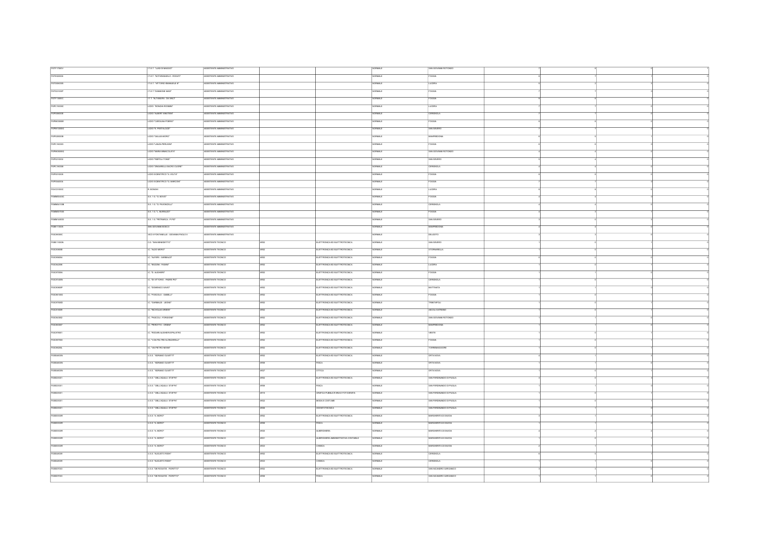| FGTF17000V    | IT ET. "LUGI DI MAGGIO"               | ASSISTENTE AMMINISTRATIVO        |                          |                                    | NORMALE        | SAN GIOVANNI ROTONDO      |  |  |
|---------------|---------------------------------------|----------------------------------|--------------------------|------------------------------------|----------------|---------------------------|--|--|
| FGTE020006    | T.E.T. NOTANAGELO - ROSATI"           | CATARTE AMMINISTRATIVO           |                          |                                    | <b>RMALE</b>   | <b>OGGIA</b>              |  |  |
| $r$ GTD060005 | IT ET. VITTORIO EMANUELE IIT          | ASSISTENTE AMMINISTRATIVO        |                          |                                    | ORMALE         | LUCERA                    |  |  |
| FGTD21000T    | IT.E.T."GWW.CNE MAST                  | ASSISTENTE AMMINISTRATIVO        |                          |                                    | NORMALE        | FOGGIA                    |  |  |
|               |                                       |                                  |                          |                                    |                |                           |  |  |
| FGTF13000C    | IT.T. "ALTAMURA - DA VINCI"           | ASSISTENTE AMMINISTRATIVO        |                          |                                    | <b>SAMPO</b>   | <b>FOGGIA</b>             |  |  |
| FGPC15000C    | LICEO "BONGH-ROSMIN"                  | SSSTENTE AMMINISTRATIVO          |                          |                                    | NORMALE        | LUCERA                    |  |  |
| FGPS08000E    | <b>UCEO "ALBERT ENSTEN"</b>           | ASSISTENTE AMMINISTRATIVO        |                          |                                    | RMALE          | CERIGNOLA                 |  |  |
| FGPM03000E    | LICEO "CAROLINA POERIO"               | ASSISTENTE AMMINISTRATIVO        |                          |                                    | NORMALE        | FOGGA                     |  |  |
| FGPM10000G    | LICEO "E. PESTALOZZ"                  | SSISTENTE AMMINISTRATIVO         |                          |                                    | <b>SAMPLE</b>  | SAN SEVERO                |  |  |
| FGP520000B    | LICEO "GALLEHMORO"                    | ASSISTENTE AMMNISTRATIVO         |                          |                                    | NORMALE        | <b>MANFREDONIA</b>        |  |  |
| FGPC160003    | LICEO "LANZAPERUGNI"                  | ASSISTENTE AMMINISTRATIVO        |                          |                                    | NORMALE        | FOGGIA                    |  |  |
| FGPM05000Q    | LICEO "MANA MMACOLATA"                | CATRATIONAL 3TH 3TSSS            |                          |                                    | RMALE          | SAN GIOVANNI ROTONDO      |  |  |
| FGP5210002    | LICEO "RISPOLI-TONO!"                 | SSISTENTE AMMNISTRATIVO          |                          |                                    | NORMALE        | SAN SEVERO                |  |  |
|               |                                       |                                  |                          |                                    |                |                           |  |  |
| FGPC180008    | LICEO 'ZNGARELLI-SACRO CUORE          | SSISTENTE AMMNISTRATIVO          |                          |                                    |                | <b>CERIGNOL</b>           |  |  |
| FGP5010008    | LICEO SCIENTIFICO "A VOLTA"           | SSISTENTE AMMNISTRATIVO          |                          |                                    | NORMALE        | <b>FOGGIA</b>             |  |  |
| FGP5040004    | LICEO SCENTIFICO "G. MARCON"          | SSISTENTE AMMINISTRATIVO         |                          |                                    | <b>ORMALE</b>  | <b>FOGGIA</b>             |  |  |
| FGVC01000C    | R. BONGHI                             | <b>ISSISTENTE AMMINISTRATIVO</b> |                          |                                    | ORMALE         | LUCERA                    |  |  |
| FGMM03400C    | 8.8.1 G. G. BOVID"                    | ASSISTENTE AMMINISTRATIVO        |                          |                                    | <b>NORMALE</b> | FOGGA                     |  |  |
| FGMM04100B    | S.S. 1 G. TG. PAVONCELLE              | SSSTENTE AMMNISTRATIVO           |                          |                                    | <b>ORMALE</b>  | ERIGNOLA                  |  |  |
| FGMMODTODX    | <b>S.S. 1 G. T. MURKLDOT</b>          | ASSISTENTE AMMINISTRATIVO        |                          |                                    | NORMALE        | FOGGIA                    |  |  |
| FGMM148003    | S.S. 1 G. PETRARCA - P.PID"           | ASSISTENTE AMMNISTRATIVO         |                          |                                    | <b>NORMALE</b> | SAN SEVERO                |  |  |
| FGEE113005    | SAN GIOVANNI BOSCO                    | ASSISTENTE AMMINISTRATIVO        |                          |                                    | NORMALE        | <b>MANFREDONIA</b>        |  |  |
|               |                                       |                                  |                          |                                    |                |                           |  |  |
| FGCB3300C     | VICO I FONTANELLE - GIOVANNI PAOLO II | SSISTENTE AMMNISTRATIVO          |                          |                                    | ORMALE         | DELICETO                  |  |  |
| FGEE11000N    | CD. "SAN BENEDETTO"                   | ASSISTENTE TECNICO               | ARCO                     | ELETTRONICA ED ELETTROTECNICA      | NORMALE        | SAN SEVERO                |  |  |
| FGC83800E     | IC. "ALDO MORO"                       | ASSISTENTE TECNICO               | ARCO                     | ELETTRONICA ED ELETTROTECNICA      | NORMALE        | STORNARELLA               |  |  |
| FGIC856004    | C. "ALFIERI - GARBALDI"               | SSISTENTE TECNICO                |                          | ELETTRONCA ED ELETTROTECNICA       | <b>SAMPO</b>   | FOGGIA                    |  |  |
| FGIC842006    | C. BOZZNI - FASANT                    | ASSISTENTE TECNICO               | ARCO                     | ELETTRONCA ED ELETTROTECNICA       | NORMALE        | LUCERA                    |  |  |
| FGIC87000A    | C. D. AUGHERT                         | ASSISTENTE TECNICO               |                          | ELETTRONCA ED ELETTROTECNICA       | NORMALE        | FOGGIA                    |  |  |
| FGIC87400N    | C. "DIVITTORIO - PADRE PIO"           | ASSISTENTE TECNICO               | ARCZ.                    | ELETTRONICAED ELETTROTECNICA       | NORMALE        | <b>CERIGNOLA</b>          |  |  |
| FGC80800P     | C. DOMENCO SAVO*                      | SSSTENTE TECNCO                  |                          | ELETTRONICA ED ELETTROTECNICA      | <b>ORMALE</b>  | MATTINATA                 |  |  |
| FGIC86100G    | C. YOSCOLO - GABELLI'                 | SSISTENTE TECNICO                |                          | ELETTRONICA ED ELETTROTECNICA      | ORMALE         |                           |  |  |
| FGICarsoco    | C. "GARIBALDI - LEONE"                | <b>RESETENTE TECNICO</b>         | $\frac{1}{2}$            | ELETTRONICA ED ELETTROTECNICA      | <b>NORMALE</b> | TRINITAROLL               |  |  |
|               |                                       |                                  |                          |                                    |                |                           |  |  |
| FGICatacco    | C. THICHOLAS GREEN"                   | ASSISTENTE TECNICO               | wtoz                     | ELETTRONICA ED ELETTROTECNICA      | ORMALE         | ASCOLI SATRIANO           |  |  |
| FGIC843002    | C. "PASCOLI - FORGIONE"               | ASSISTENTE TECNICO               |                          | ELETTRONCA ED ELETTROTECNICA       | <b>JORNALE</b> | SAN GIOVANNI ROTONDO      |  |  |
| FGIC853007    | C. PEROTTO - ORSN'T                   | ASSISTENTE TECNICO               | ARCO                     | ELETTRONICA ED ELETTROTECNICA      | NORMALE        | <b>MANFREDONIA</b>        |  |  |
| FGIC878001    | C. TRODARI-ALIGHERI-SPALATRO          | ASSISTENTE TECNICO               |                          | ELETTRONICA ED ELETTROTECNICA      | <b>JORNALE</b> | <b>VESTE</b>              |  |  |
| FGIC85700X    | C. V.DA FELTRE-N ZNGARELLI'           | SSSTENTE TECNICO                 | w.cz                     | ELETTRONICA ED ELETTROTECNICA      | <b>SAMRO</b>   | <b>FOGGIA</b>             |  |  |
| FGIC88200L    | C. "VA PETRO NENN"                    | SSISTENTE TECNICO                | $\overline{\phantom{a}}$ | ELETTRONICAED ELETTROTECNICA       | <b>BLANCH</b>  | TORREMAGGIORI             |  |  |
| FGB04800N     | ILS.S. "ADRIANO OLIVETTI"             | ASSISTENTE TECNICO               | 100                      | ELETTRONICA ED ELETTROTECNICA      | NORMALE        | <b>ORTANOVA</b>           |  |  |
| FGS04000N     | ILS.S. "ADRIANO OLIVETTI"             | SSISTENTE TECNICO                | AROS                     | <b>ISCA</b>                        | ORMALE         | ORTANOVA                  |  |  |
| FGBD4000N     | U.S.S. "ADRIANO GLIVETTI"             | ASSISTENTE TECNICO               | $\overline{M(2)}$        | OTTICA                             | NORMALE        | ORTANOVA                  |  |  |
| FG8023001     | <b>TRR TORTSCHLA STARES</b>           | ASSISTENTE TECNICO               | altro.                   | ELETTRONICA ED ELETTROTECNICA      | NORMAL F       | SAN FERDRANDO DI PISCI IL |  |  |
|               |                                       |                                  |                          |                                    |                |                           |  |  |
| FGB023001     | <b>USS "DELL'AQUEA STAFFA"</b>        | SSISTENTE TECNICO                | 1000                     |                                    | RMALE          | SAN FERDINANDO DI PUGLIA  |  |  |
| FGIS023001    | USS. "DELL'AQUEA STAFFA"              | ASSISTENTE TECNICO               | 4915                     | GRAFICA PUBBLICITARIA E FOTOGRAFIA | NORMALE        | SAN FERDINANDO DI PUGLIA  |  |  |
| FGB023001     | ILS.S. " DELL'AQUEA STAFFA"           | SSSTENTE TECNICO                 | $\overline{M22}$         | MODAE COSTUME                      | NORMALE        | SAN FERDINADO DI PUGLIA   |  |  |
| FGB023001     | <b>U.S.S. " DELL'AQUEA STAFFA"</b>    | ASSISTENTE TECNICO               | AR26                     | <b>ODONTOTECNICA</b>               | NORMALE        | SAN FERDINANDO DI PUGLIA  |  |  |
| FGB05300R     | ILS.S. "A MORO"                       | SSSTENTE TECNICO                 | unco                     | ELETTRONICA ED ELETTROTECNICA      | ORMALE         | MARCHERITA DI SAVOIA      |  |  |
| FGB05300R     | USS "A MORO"                          | ASSISTENTE TECNICO               | AROB                     | <b>FISICA</b>                      | NORMALE        | MARCHERITA DI SAVOIA      |  |  |
| FGB05300R     | USS 'A MORO'                          | ASSISTENTE TECNICO               | $\overline{AB20}$        | <b>A.BERGHERA</b>                  | NORMALE        | MARGHERITA DI SAVOIA      |  |  |
| FGB05300R     | USS 'A MORO'                          | ASSISTENTE TECNICO               |                          | ALBERGHERA AMMINISTRATIVA CONTABLE | NORMALE        | AGHERITA DI SAVOIA        |  |  |
| FGB05300R     | <b>U.S.S. "A MORO"</b>                | ASSISTENTE TECNICO               |                          |                                    |                | MARGHERITA DI SAVOIA      |  |  |
|               |                                       |                                  | AR23                     | CHMICA                             | NORMALE        |                           |  |  |
| FGB048009     | ILS.S. "AUGUSTO RIGHT                 | ASSISTENTE TECNICO               | anco                     | ELETTRONICA ED ELETTROTECNICA      | NORMALE        | CERIGNOLA                 |  |  |
| FGB048009     | ILS.S. "AUGUSTO RIGHT                 | ASSISTENTE TECNICO               |                          | <b>HMICA</b>                       | NORMALE        | CERIGNOLA                 |  |  |
| FGB007003     | USS. DE ROGATS - FIORITTO*            | SSISTENTE TECNICO                |                          | ELETTRONICA ED ELETTROTECNICA      | ORMALE         | SAN NICANDRO GARGANICO    |  |  |
| FGB007003     | ILS.S. "DE ROGATS - FIORITTO"         | ASSISTENTE TECNICO               |                          |                                    |                | SAN NCANDRO GARGANICO     |  |  |
|               |                                       |                                  |                          |                                    |                |                           |  |  |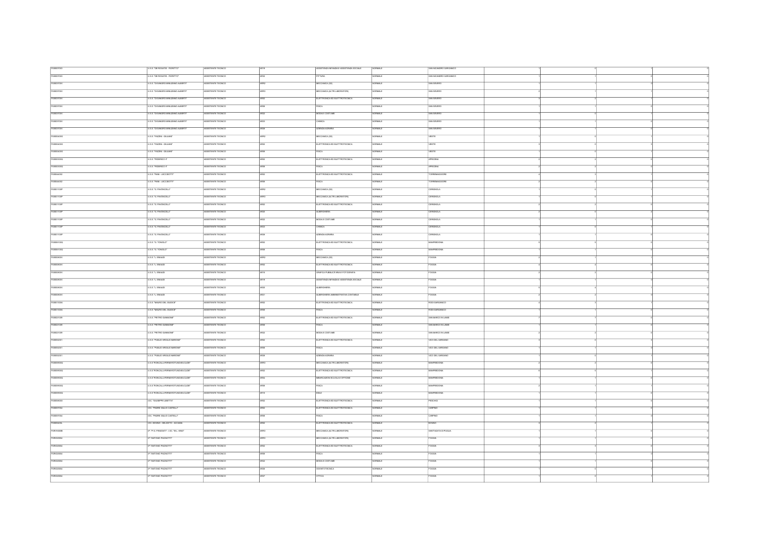| FGB007003  | ILS.S. "DE ROGATIS - FIORITTO"          | ASSISTENTE TECNICO                       |                   | ASSISTENZA INFANZIA E ASSISTENZA SOCIALE               | NORMALE                  | SAN NCANDRO GARGANICO     |  |  |
|------------|-----------------------------------------|------------------------------------------|-------------------|--------------------------------------------------------|--------------------------|---------------------------|--|--|
| FGB007003  | U.S.S. "DE ROGATIS - FIORITTO"          | ASSISTENTE TECNICO                       |                   | <b>PITTURA</b>                                         | <b>SAMRO</b>             | SAN NICANDRO GARGANICO    |  |  |
| FGB03700V  | ISS. THEANGRO-MINUZIANO-ALBERTIT        | ASSISTENTE TECNICO                       | ARRO              | ECCANICA (132)                                         | <b>JUMIOR</b>            | SAN SEVERO                |  |  |
| FGB03700V  | ILS.S. "DI SANGRO-MINUZIANO-ALBERTI"    | ASSISTENTE TECNICO                       |                   | MECCANICA (ALTRI LABORATORI)                           | NORMALE                  | SAN SEVERO                |  |  |
| FGB03700V  | U.S.S. "DI SANGRO-MINUZIANO-ALBERTI"    | ASSISTENTE TECNICO                       |                   |                                                        |                          |                           |  |  |
|            |                                         |                                          |                   | ELETTRONICA ED ELETTROTECNICA                          | <b><i>SAMON</i></b>      | SAN SEVERO                |  |  |
| FGB03700V  | ISS. DISANGRO-MINUZIANO-ALBERTIT        | SSISTENTE TECNICO                        |                   |                                                        | <b>RMALE</b>             | SAN SEVERO                |  |  |
| FGB03700V  | U.S.S. TO SANGRO-MINUZIANO-ALBERTI      | ASSISTENTE TECNICO                       |                   | MODAE COSTUME                                          | NORMALE                  | SAN SEVERO                |  |  |
| FGB03700V  | IT R.R. THI RANGEO LMNI (PIANOLAI REBTE | <b>ASSSTENTE TECNICO</b>                 | $\overline{a}$    | <b>CHMICA</b>                                          | CRM4 F                   | <b>SAN SEVERO</b>         |  |  |
| FGB03700V  | ILS.S. "DI SANGRO-MINUZIANO-ALBERTI"    | SSSTENTE TECNICO                         |                   | ZENDA AGRARIA                                          | RMALE                    | SAN SEVERO                |  |  |
| FGIS00400G | <b>U.S.S. TAZZNI - GIULIANT</b>         | ASSISTENTE TECNICO                       |                   | ECCANICA (32)                                          | ORMALE                   | VESTE                     |  |  |
| FGB00400G  | USS. TAZZNI - GULIAN'                   | ASSISTENTE TECNICO                       |                   | ELETTRONCA ED ELETTROTECNICA                           | ORMAL                    | VESTE                     |  |  |
| FGB00400G  | USS. TAZZNI - GULIANT                   | ASSISTENTE TECNICO                       |                   | <b>SCA</b>                                             | RMALE                    | VESTE                     |  |  |
| FG800300Q  | U.S.S. VEDERICO IT                      | ASSISTENTE TECNICO                       |                   | ELETTRONICA ED ELETTROTECNICA                          | <b>CRMA F</b>            | APRICENA                  |  |  |
| FGB00300Q  | USS. VEDERICO IT                        | ASSISTENTE TECNICO                       |                   | <b>BCA</b>                                             |                          | APRICENA                  |  |  |
| FORNAMO    | U.S.S. "IWN - LECCISOTTE                | <b>ASSSTENTE TECNICO</b>                 | $\frac{1}{200}$   | ELETTRONICA ED ELETTROTECNICA                          | <b>NORMALE</b>           | TORREMAGGIORE             |  |  |
|            |                                         |                                          |                   |                                                        |                          |                           |  |  |
| FGB04002   | USS. TWI-LECCSOTT                       | ASSISTENTE TECNICO                       |                   | <b>BCA</b>                                             | <b>RMALE</b>             | ORREMAGGIORE              |  |  |
| FGIS01100P | ILS.S. "G. PAVONCELL!"                  | ASSISTENTE TECNICO                       |                   | MECCANICA (32)                                         | NORMALE                  | <b>CERIGNOLA</b>          |  |  |
| FGIS01100P | <b>ILS.S. "G. PAVONCELL!"</b>           | ASSISTENTE TECNICO                       | anny              | MECCANICA (ALTRI LABORATORI)                           | NORMALE                  | <b>CERIGNOLA</b>          |  |  |
| FGIS01100P | <b>U.S.S. "G. PAVONCELL!"</b>           | ASSISTENTE TECNICO                       |                   | ELETTRONICA ED ELETTROTECNICA                          | <b>RMALE</b>             | <b>ERIGNOLA</b>           |  |  |
| FGB01100P  | ILS.S. "G. PAVONCELL!"                  | ASSISTENTE TECNICO                       | $\overline{4820}$ | ARBITIONS                                              | ORMALE                   | ERIGNOLA                  |  |  |
| FGIS01100P | <b>USS. G. PAVONCELL!</b>               | ASSISTENTE TECNICO                       |                   | MODAE COSTUME                                          | ORMALE                   | CERIGNOLA                 |  |  |
| FGIS01100P | U.S.S. "G. PAVONCELL!"                  | ASSISTENTE TECNICO                       | AR23              | CHMICA                                                 | <b><i>SAMON</i></b>      | CERIGNOLA                 |  |  |
| FGIS01100P | ISS. G. PAYONCELLE                      | SSSTENTE TECNICO                         |                   | <b>TENDA AGRARIA</b>                                   | <b>RMALE</b>             | <b>UGNOLA</b>             |  |  |
| FGIS06100Q | ILS.S. "G. TONICLO"                     | ASSISTENTE TECNICO                       |                   | ELETTRONICA ED ELETTROTECNICA                          | NORMALE                  | MANFREDONIA               |  |  |
| FGIS06100Q | U.S.S. "G. TONICLO"                     | ASSISTENTE TECNICO                       | <b>Uhrin</b>      | <b>FISICA</b>                                          | ORMALE                   | MANFREDONA                |  |  |
| FGB00800V  | ILS.S. T., ENAUDI                       | SSISTENTE TECNICO                        |                   | MECCANICA (132)                                        | <b>MALE</b>              | <b>AGOS</b>               |  |  |
| FGB00800V  | U.S.S. T. ENAUDI                        | ASSISTENTE TECNICO                       |                   | ELETTRONICA ED ELETTROTECNICA                          | ORMALE                   | FOGGIA                    |  |  |
| FGB00800V  |                                         |                                          |                   |                                                        | ORMALE                   | <b>FOGGIA</b>             |  |  |
| FGB00800V  | ILS S. T. ENAUDI                        | ASSISTENTE TECNICO                       |                   | GRAFICA PUBBLICITARIA E FOTOGRAFIA                     |                          |                           |  |  |
|            | U.S.S. T. ENAUDI                        | ASSISTENTE TECNICO<br>ASSISTENTE TECNICO | AR19              | ASSISTENZA INFANZIA E ASSISTENZA SOCIALE<br>A REBOHERA | <b>BLANCH</b><br>CIBMA F | <b>FOGGIA</b><br>FOOGLE   |  |  |
| FGISCOBODV | U.S.S. T. ENAUDI                        |                                          | 4920              |                                                        |                          |                           |  |  |
| FGB00800V  | USS. L. ENAUDI                          | ASSISTENTE TECNICO                       |                   | ALBERGHERA AMMINISTRATIVA CONTABILE                    | <b>ORMALE</b>            | FOGGIA                    |  |  |
| FGB01300A  | TRE MAIRO DE GUNCET                     | <b>ASSSTENTE TECNICO</b>                 | $\frac{1}{1000}$  | FLETTRONICA ED ELETTROTECNICA                          | <b>NORMAL</b> F          | <b>RODUCARGANICO</b>      |  |  |
| FGB01300A  | ILS.S. TAAURO DEL GIUDICE"              | ASSISTENTE TECNICO                       |                   | <b>FSCA</b>                                            | RMALE                    | RODI GARGANICO            |  |  |
| FG8021009  | ILS.S. "PIETRO GIANNONE"                | ASSISTENTE TECNICO                       |                   | ELETTRONICA ED ELETTROTECNICA                          | NORMALE                  | SAN MARCO IN LAMB         |  |  |
| FGB021009  | <b>U.S.S. "PIETRO GIANNONE"</b>         | ASSISTENTE TECNICO                       | ance              | <b>FISICA</b>                                          | OBMA F                   | <b>SAN MARCO IN LAMIS</b> |  |  |
| FGB021009  | ILS.S. "PIETRO GIANNONE"                | ASSISTENTE TECNICO                       |                   | MODAE COSTUME                                          | <b>STANCE</b>            | SAN MARCO IN LAMS         |  |  |
| FGB052001  | IS S. PUBLIO VRGLIO MARONE"             | ASSISTENTE TECNICO                       |                   | ELETTRONICA ED ELETTROTECNICA                          | ORMALE                   | VICO DEL GARGANO          |  |  |
| FGB052001  | ILS S. "PUBLIO VRGILIO MARONE"          | ASSISTENTE TECNICO                       |                   | <b>ISCA</b>                                            | <b>CHANGE</b>            | VICO DEL GARGANO          |  |  |
| FGB052001  | ILS S. "PUBLIO VIRGILIO MARCINE"        | ASSISTENTE TECNICO                       | 5878              | AZIENDA AGRARIA                                        | ORMALE                   | VICO DEL GARGANO          |  |  |
| FGB05900Q  | ISS/RONCALL-FERM-ROTUNDI-EUCLIDE*       | SSSTENTE TECNCO                          |                   | ECCANICA (ALTRI LABORATORI)                            | RMALE                    | REDONV                    |  |  |
| FGB05000Q  | ILS S. "RONCALLI-FERM-ROTUNDI-EUCLIDE"  | ASSISTENTE TECNICO                       |                   | ELETTRONICA ED ELETTROTECNICA                          | ORMALE                   | MANFREDONIA               |  |  |
| FGIS05900Q | ILS.S. "RONCALLI-FERM-ROTUNDI-EUCLIDE"  | ASSISTENTE TECNICO                       | in na             | MBARCAZIONI SCUOLA E OFFICINE                          | <b>JORNALE</b>           | MANFREDONIA               |  |  |
| FGB05900Q  | ISS/RONCALL-FERM-ROTUNDI-EUCLIDE*       | SSISTENTE TECNICO                        |                   | <b>BCA</b>                                             | <b>MALE</b>              | <b>NFREDONIA</b>          |  |  |
| FGB05900Q  | ILS.S. "RONCALLI-FERMI-ROTUNDI-EUCLIDE" | ASSISTENTE TECNICO                       |                   | EDLE                                                   | <b>ORMALE</b>            | MANFREDONIA               |  |  |
| FGB05800X  | OC. "GUSEPPE LBETTA"                    | ASSISTENTE TECNICO                       |                   | ELETTRONICA ED ELETTROTECNICA                          | <b>CRMALE</b>            | PESCHICI                  |  |  |
| FGB057004  | OC. TRORE GULIO CASTELLE                | ASSISTENTE TECNICO                       | <b>ARCO</b>       | ELETTRONICA ED ELETTROTECNICA                          | <b>SAMPLE</b>            | CARPINO                   |  |  |
| FGB057004  | LOC. TRADRE GIULIO CASTELLE             | ASSISTENTE TECNICO                       | sisra             | eera.                                                  | CRM4 F                   | CARPINO                   |  |  |
| FGB05400L  | IDC. BOVINO - DELICETO - ACCADIA        | ASSISTENTE TECNICO                       |                   | ELETTRONICA ED ELETTROTECNICA                          | ORMAL                    | ROVINO                    |  |  |
| FGRI16000B | IP, 'P.G. FRASSATI' - LOC. 'M.L. KING'  | ASSISTENTE TECNICO                       | <b>ARPIS</b>      | MECCANICA (ALTRI LABORATORI)                           | <b>ORMALE</b>            | SANTAGATA DI PUGLIA       |  |  |
| FGRI220004 | P. WITCNID PACNOTTE                     | SSSTENTE TECNCO                          |                   | MECCANICA (ALTRI LABORATORI)                           | RMALE                    | <b>OGGIA</b>              |  |  |
| FGRI020004 | P. WITONIO PACNOTTE                     | ASSISTENTE TECNICO                       |                   | ELETTRONICA ED ELETTROTECNICA                          | ORMALE                   | FOGGIA                    |  |  |
| FGRI020004 | P "ANTONIO PACNOTTE                     | ASSISTENTE TECNICO                       | ance              | FRICA                                                  | CRMA F                   | <b>FOGGIA</b>             |  |  |
| FGRI20004  | P. WITCNID PACNOTTE                     | SSSTENTE TECNICO                         |                   | MODAE COSTUME                                          | <b>RMALE</b>             | <b>DGGIA</b>              |  |  |
| FGRI220004 | P. WITONIO PACNOTTE                     | ASSISTENTE TECNICO                       | $\overline{107}$  | DONTOTECNCA                                            | <b>ORMALE</b>            | FOGGIA                    |  |  |
| FGRI020004 | P. WITONIO PACNOTTE                     | ASSISTENTE TECNICO                       |                   | <b>TTICA</b>                                           | ORMALE                   |                           |  |  |
|            |                                         |                                          |                   |                                                        |                          |                           |  |  |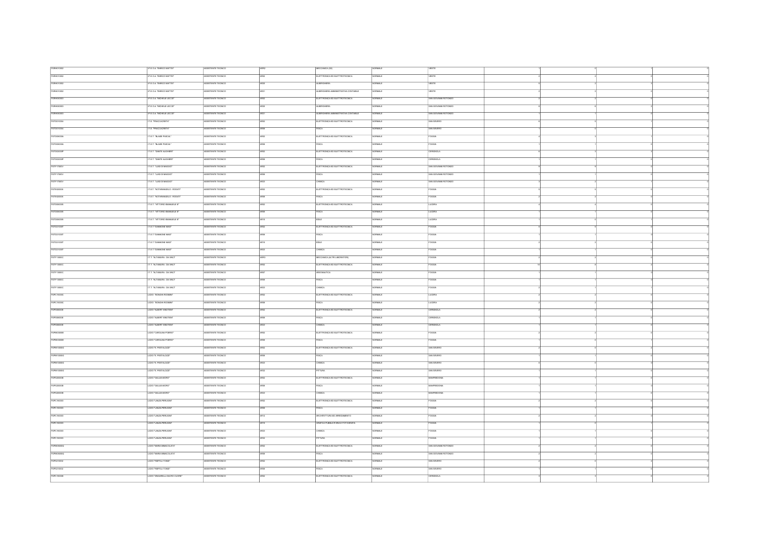| FGRHD10002 | IP.E.O.A. "ENRICO MATTEI"      | ASSISTENTE TECNICO       |                  | MECCANICA (32)                      | <b>NORMALE</b>  | VESTE                |  |  |
|------------|--------------------------------|--------------------------|------------------|-------------------------------------|-----------------|----------------------|--|--|
| FGRHD10002 | P.E.O.A. "ENRICO MATTEI"       | SSSTENTE TECNICO         |                  | ELETTRONICA ED ELETTROTECNICA       |                 | VESTE                |  |  |
| FGRHD10002 | IP.E.O.A. "ENRICO MATTEI"      | ASSISTENTE TECNICO       |                  | <b>ALBERGHERA</b>                   | ORMALE          | VESTE                |  |  |
| FGRHD10002 | IP.E.O.A. "ENRICO MATTEI"      | ASSISTENTE TECNICO       |                  | ALBERGHERA AMMINISTRATIVA CONTABILE | <b>CRMA F</b>   | VESTE                |  |  |
|            |                                |                          |                  |                                     |                 |                      |  |  |
| FGRH060003 | IP.E.O.A. "MCHELE LECCE"       | ASSISTENTE TECNICO       |                  | ELETTRONICA ED ELETTROTECNICA       | RMALE           | SAN GIOVANNI ROTONDO |  |  |
| FGRH060003 | IP.E.O.A. "MCHELE LECCE"       | ASSISTENTE TECNICO       |                  | <b>ALBERGHERA</b>                   | <b>CRMALE</b>   | SAN GIOVANNI ROTONDO |  |  |
| FGRHDBDDDS | IP.E.O.A. "MICHELE LECCE"      | ASSISTENTE TECNICO       |                  | ALBERGHERA AMMINISTRATIVA CONTABLE  | <b>JRMALI</b>   | SAN GIOVANNI ROTONDO |  |  |
| FGTD010004 | IT.E. "FRACCACRETA"            | ASSISTENTE TECNICO       |                  | ELETTRONICA ED ELETTROTECNICA       | <b>CRMALE</b>   | SAN SEVERO           |  |  |
| FGTD010004 | T.E. "FRACCACRETA"             | SSSTENTE TECNICO         |                  |                                     | <b>RMALE</b>    | SAN SEVERO           |  |  |
| FGTD08000A | IT ET. "BLASE PASCAL"          | ASSISTENTE TECNICO       |                  | ELETTRONICA ED ELETTROTECNICA       | ORMALE          | FOGGIA               |  |  |
|            |                                |                          |                  | <b>FSCA</b>                         | <b>JRMAL</b>    | <b>FOGGIA</b>        |  |  |
| FGTD08000A | IT.E.T. "BLASE PASCAL"         | ASSISTENTE TECNICO       |                  |                                     |                 |                      |  |  |
| FGTD02000P | IT.E.T. "DANTE ALIGHER!"       | SSISTENTE TECNICO        |                  | ELETTRONICA ED ELETTROTECNICA       | RMALE           | CERIGNOLA            |  |  |
| FGTD02003P | IT.E.T. "DANTE ALIGHER!"       | SSISTENTE TECNICO        |                  | <b>RICA</b>                         | <b>BMALE</b>    | <b>ERIGNOLA</b>      |  |  |
| FGTF17000V | IT.E.T. "LUGI DI MAGGIO"       | SSISTENTE TECNICO        |                  | ELETTRONICAED ELETTROTECNICA        |                 | SAN GIOVANNI ROTONDI |  |  |
| FGTF17000V | IT ET, "LUGI DI MAGGIO"        | ASSISTENTE TECNICO       |                  | <b>FSICA</b>                        | ORMALE          | SAN GIOVANNI ROTONDO |  |  |
| FGTF17000V | T.E.T. "LUGI DI MAGGIO"        | SSISTENTE TECNICO        |                  | HMICA                               | <b>JRMALE</b>   | SAN GIOVANNI ROTONDO |  |  |
| FGTE020006 | IT.E.T. "NOTARANGELO - ROSATI" | ASSISTENTE TECNICO       |                  | ELETTRONICA ED ELETTROTECNICA       | ORMALE          | <b>FOGGIA</b>        |  |  |
| FGTE020006 | IT ET. "NOTARANGELO - ROSATI"  | ASSISTENTE TECNICO       | ance             | <b>FISICA</b>                       | CIBMA F         | FOGGA                |  |  |
|            |                                |                          |                  |                                     |                 |                      |  |  |
| FGTD060005 | IT ET. "VITTORIO EMANUELE II"  | SSSTENTE TECNICO         |                  | ELETTRONICA ED ELETTROTECNICA       | RMALE           | LUCERA               |  |  |
| FGTD060005 | IT.E.T. "VITTORIO EMANUELE II" | SSISTENTE TECNICO        |                  | <b>FSCA</b>                         | <b>RMALE</b>    | LUCERA               |  |  |
| FGTD060005 | LT.E.T. "VITTORIO EMANUELE II" | ASSISTENTE TECNICO       | $\overline{a}$   | EDLE                                | <b>COMME</b>    | LUCERA               |  |  |
| FGTD21000T | IT ET. GANNONE MAST            | ASSISTENTE TECNICO       |                  | ELETTRONICA ED ELETTROTECNICA       | ORMALE          | <b>FOGGIA</b>        |  |  |
| FGTD21000T | T.E.T. GRANDNE MAST            | SSISTENTE TECNICO        |                  | <b>SCA</b>                          | <b>RMALE</b>    | <b>OGGIA</b>         |  |  |
| FGTD21000T | <b>IT ET. GHANCNE MAST</b>     | ASSISTENTE TECNICO       |                  | EDLE                                | NORMALE         | FOGGIA               |  |  |
| FGTD21000T | IT FT YOMANONE MARE            | ASSISTENTE TECNICO       | 4975             | <b>CHMCA</b>                        | <b>NORMAL</b> F | FOODS                |  |  |
| FGTF13000C | IT.T. "ALTAMURA - DA VINCI"    | SSISTENTE TECNICO        |                  | MECCANICA (ALTRI LABORATORI)        | RMALE           | <b>CGGIA</b>         |  |  |
|            |                                |                          |                  |                                     |                 |                      |  |  |
| FGTF13000C | LT.T. "ALTAMURA - DA VINCI"    | ASSISTENTE TECNICO       |                  | ELETTRONICA ED ELETTROTECNICA       | <b>CRMALE</b>   | <b>FOGGIA</b>        |  |  |
| FGTF13000C | IT.T. "ALTAMURA - DA VINCI"    | SSSTENTE TECNICO         |                  | REONAUTICA                          | <b>RMALI</b>    | Foggy,               |  |  |
| FGTF13000C | IT.T. "ALTAMURA - DA VINCI"    | ASSISTENTE TECNICO       | ARCO             | <b>FISICA</b>                       | <b>SAMRO</b>    | <b>FOGGIA</b>        |  |  |
| FGTF13000C | T.T. "ALTAMURA - DA VINCI"     | SSISTENTE TECNICO        |                  | HMICA                               |                 |                      |  |  |
| FGPC15000C | LCEO "BONGH-ROSMIN"            | ASSISTENTE TECNICO       |                  | ELETTRONICA ED ELETTROTECNICA       | ORMALE          | LUCERA               |  |  |
| FGPC15000C | LICEO "BONGH-ROSMIN"           | ASSISTENTE TECNICO       | $\frac{1}{200}$  | <b>FISICA</b>                       | <b>CRMALE</b>   | LUCERA               |  |  |
| FGPS08000E | UCEO "ALBERT EINSTEIN"         | SSISTENTE TECNICO        |                  | ELETTRONICA ED ELETTROTECNICA       | <b>BAALE</b>    | <b>FUGNOLA</b>       |  |  |
|            | <b>LICEO "ALBERT EINSTEN"</b>  | ASSISTENTE TECNICO       | ance             |                                     | ORMALE          | CERIGNOLA            |  |  |
| FGP508000E |                                |                          |                  | <b>BCA</b>                          |                 |                      |  |  |
| FGP508000E | <b>LICEO "ALBERT ENSTEN"</b>   | ASSISTENTE TECNICO       | $\frac{1}{2}$    | CHMICA                              | <b>COMA F</b>   | CERIGNOLA            |  |  |
| FGPM03000E | LICEO "CAROLINA POERIO"        | ASSISTENTE TECNICO       |                  | ELETTRONICA ED ELETTROTECNICA       | NORMALE         | <b>FOGGIA</b>        |  |  |
| FGPM03000E | LICEO "CAROLINA POERIO"        | SSSTENTE TECNCO          |                  | <b>SCA</b>                          | RMALE           | <b>CGGIA</b>         |  |  |
| FGPM10000G | LICEO "E. PESTALOZZ"           | SSISTENTE TECNICO        |                  | ELETTRONICA ED ELETTROTECNICA       | $\overline{u}$  | SAN SEVERO           |  |  |
| FGPM10000G | UCEO "E. PESTALOZZ"            | ASSISTENTE TECNICO       | ance             | ekina.                              | CRMA F          | <b>RAN REVENO</b>    |  |  |
| FGPM10000G | LICEO "E. PESTALOZZ"           | SSISTENTE TECNICO        |                  | HMICA                               | <b>MMLE</b>     | SAN SEVERO           |  |  |
| FGPM10000G | LICEO "E. PESTALOZZ"           | ASSISTENTE TECNICO       |                  | <b>STTLING</b>                      | <b>CRMALE</b>   | SAN SEVERO           |  |  |
|            |                                |                          |                  |                                     |                 |                      |  |  |
| FGP520000B | LICEO "GALLEHMORO"             | ASSISTENTE TECNICO       |                  | ELETTRONICA ED ELETTROTECNICA       | NORMALE         | MANFREDONN           |  |  |
| FGP520000B | LICEO "GALLEI-MORO"            | ASSISTENTE TECNICO       |                  | <b>FISICA</b>                       | <b>SIMMO</b>    | <b>MANFREDONA</b>    |  |  |
| FGP520000B | LCEO "GALLEHMORO"              | SSISTENTE TECNICO        |                  |                                     |                 | <b>FREDONA</b>       |  |  |
| FGPC160003 | LICEO "LANZA PERUGINI"         | ASSISTENTE TECNICO       |                  | ELETTRONICA ED ELETTROTECNICA       | ORMALE          | <b>FOGGIA</b>        |  |  |
| FGPC160003 | LICEO "LANZA-PERUGINI"         | ASSISTENTE TECNICO       | AROS             | <b>FSCA</b>                         | ORMALE          | <b>FOGGIA</b>        |  |  |
| FGPC160003 | CEO "LANZAPERUGNI"             | SISTENTE TECNICO         |                  | RCHITETTURAED ARREDAMENTO           |                 | ccia                 |  |  |
| FGPC160003 | LICEO "LANZA-PERUGINI"         | ASSISTENTE TECNICO       |                  | GRAFICA PUBBLICITARIA E FOTOGRAFIA  | ORMALE          | <b>FOGGIA</b>        |  |  |
|            |                                |                          | $\frac{1}{4873}$ | CHMICA                              | <b>ORMALE</b>   | FOCOS                |  |  |
| FGPC160003 | LICEO "LANZA-PERUGINI"         | ASSISTENTE TECNICO       |                  |                                     |                 |                      |  |  |
| FGPC160003 | LICEO "LANZA-PERUGINI"         | ASSISTENTE TECNICO       | M32              | <b>PITTURA</b>                      | ORMALE          | <b>FOGGIA</b>        |  |  |
| FGPM05000Q | LICEO "MARIA MMACOLATA"        | ASSISTENTE TECNICO       | $\frac{1}{200}$  | ELETTRONICA ED ELETTROTECNICA       | <b>CRMALE</b>   | SAN GIOVANNI ROTONDO |  |  |
| FGPM05000Q | UCEO "MANA MMACOLATA"          | ASSISTENTE TECNICO       |                  | <b>BCA</b>                          | ORMALE          | SAN GIOVANNI ROTONDO |  |  |
| FGP5210002 | LICEO SERROLLTONOF             | <b>ASSETENTE TECNICO</b> | $\overline{m}$   | ELETTRONICA ED ELETTROTECNICA       | <b>NORMAL</b> F | <b>RAN SEVERO</b>    |  |  |
| FGP5210002 | LICEO "RISPOLI-TOND!"          | SSSTENTE TECNICO         |                  | <b>SCA</b>                          | RMALE           | SAN SEVERO           |  |  |
| FGPC180008 | LICEO "ZNGARELLI-SACRO CUORE"  | ASSISTENTE TECNICO       |                  | ELETTRONICA ED ELETTROTECNICA       | NORMALE         | CERIGNOLA            |  |  |
|            |                                |                          |                  |                                     |                 |                      |  |  |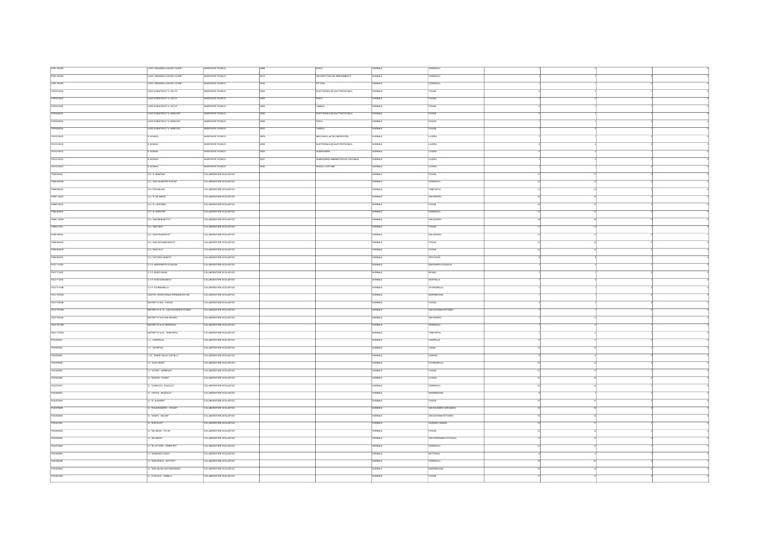| FGPC180008    | LICEO "ZNGARELLI-SACRO CUORE"        | ASSISTENTE TECNICO       |      | w.                                  | ORMALE              | CERIGNOLA                   |  |  |
|---------------|--------------------------------------|--------------------------|------|-------------------------------------|---------------------|-----------------------------|--|--|
| FGPC180008    | LICEO "ZINGARELLI-SACRO CUORE"       | ASSISTENTE TECNICO       |      | ARCHITETTURA ED ARREDAMENTO         | <b>SIMMON</b>       | CERIGNOLA                   |  |  |
|               |                                      |                          | AR12 |                                     |                     |                             |  |  |
| FGPC180008    | LICEO "ZINGARELLI-SACRO CUORE"       | ASSISTENTE TECNICO       | ARS2 | <b>TTURA</b>                        | ORMALE              | CERIGNOLA                   |  |  |
| FGP5010008    | LICEO SCENTIFICO "A VOLTA"           | ASSISTENTE TECNICO       |      | ELETTRONICA ED ELETTROTECNICA       | NORMALE             | FOGGIA                      |  |  |
| FGP5010008    | UCEO SCIENTIFICO "A VOLTA"           | ASSISTENTE TECNICO       | ARCE | <b>FISICA</b>                       | <b>CRMALE</b>       | <b>FOGGIA</b>               |  |  |
| FGP5010008    | LICEO SCENTIFICO "A VOLTA"           | SSSTENTE TECNICO         |      | HMCA                                | RMALE               | <b>OGGIA</b>                |  |  |
| FGP5040004    | LICEO SCENTIFICO "G. MARCONI"        | ASSISTENTE TECNICO       |      | ELETTRONICA ED ELETTROTECNICA       | NORMALE             | FOGGIA                      |  |  |
|               | LICEO SCENTEICO TO MARCONE           | ASSISTENTE TECNICO       |      |                                     |                     |                             |  |  |
| FGP5040004    |                                      |                          | ance | eera.                               | <b>CRMALE</b>       | FOCOS                       |  |  |
| FGP5040004    | LCEO SCENTIFICO "G. MARCON"          | SSSTENTE TECNICO         |      | HMICA                               | <b>MALE</b>         | OGGIA                       |  |  |
| FGVC01000C    | R. BONGHI                            | ASSISTENTE TECNICO       |      | MECCANICA (ALTRI LABORATORI)        | ORMALE              | LUCERA                      |  |  |
| FGVC01000C    | R. BONGHI                            | ASSISTENTE TECNICO       |      | ELETTRONICA ED ELETTROTECNICA       | <b>ORMAL</b>        | LUCERA                      |  |  |
| FGVC01000C    | R. BONGHI                            | ASSISTENTE TECNICO       |      | ALBERGHERA                          | <b>RMALE</b>        | LUCERA                      |  |  |
|               | R. BONGHI                            | ASSISTENTE TECNICO       |      | ALBERGHERA AMMINISTRATIVA CONTABILE | <b>CRMA F</b>       | LUCERA                      |  |  |
| FGVC01000C    |                                      |                          |      |                                     |                     |                             |  |  |
| FGVC01000C    | R. BONGHI                            | ASSISTENTE TECNICO       |      | MODAE COSTUME                       | <b>STANCIO</b>      | LUCERA                      |  |  |
| FGEE00900L    | C.D. "A MANZONE"                     | COLLABORATORE SCOLASTICO |      |                                     | COMA F              | FOGGIA                      |  |  |
| FGEE03200N    | C.D. TON GUSEPPE PUGLIST             | COLLABORATORE SCOLASTICO |      |                                     | <b>ORMALE</b>       | ERIGNOLA                    |  |  |
| FGEE099004    | CD. DON MLANT                        | COLLABORATORE SCOLASTICO |      |                                     | NORMALE             | <b>TRNITAPOLI</b>           |  |  |
| FGEE112009    | C.D. "E. DE AMOS"                    |                          |      |                                     | <b>NORMALE</b>      |                             |  |  |
|               |                                      | COLLABORATORE SCOLASTICO |      |                                     |                     | SAN SEVERO                  |  |  |
| FGEE01200C    | C.D. "G. LEOPARD!"                   | COLLABORATORE SCOLASTICO |      |                                     | ORMALE              | <b>FOGGIA</b>               |  |  |
| FGEE02900T    | C.D. "G. MARCONT                     | COLLABORATORE SCOLASTICO |      |                                     | <b>ORMALE</b>       | CERIGNOLA                   |  |  |
| FGEE11000N    | C.D. "SAN BENEDETTO"                 | COLLABORATORE SCOLASTICO |      |                                     | ORMALE              | SAN SEVERO                  |  |  |
| FGEED1100L    | C.D. "SAN CIRO"                      | COLLABORATORE SCOLASTICO |      |                                     | <b><i>SAMON</i></b> | <b>FOGGIA</b>               |  |  |
| FGEE106002    |                                      |                          |      |                                     | RMALE               |                             |  |  |
|               | D. "SAN FRANCESCO"                   | COLLABORATORE SCOLASTICO |      |                                     |                     | SAN SEVERO                  |  |  |
| FGEEDISCOR    | C.D. "SAN GIOVANNI BOSCO"            | COLLABORATORE SCOLASTICO |      |                                     | <b>ORMALE</b>       | FOGGIA                      |  |  |
| FGEEDOSCOR    | C.D. "SAN PIO X"                     | COLLABORATORE SCOLASTICO |      |                                     | <b>CRMALE</b>       | FOGGIA                      |  |  |
| FGEE08000T    | C.D. "WITCRIO VENETO"                | OLLABORATORE SCOLASTICO  |      |                                     | RMALE               | RTANOVA                     |  |  |
| FGCT71400V    | C.T.P. MARGHERITA DI SAVOIA          | COLLABORATORE SCOLASTICO |      |                                     | <b>ORMALE</b>       | MARCHERITA DI SAVOIA        |  |  |
| FGCT712007    | C.T.P. MONTI DAUN                    | COLLABORATORE SCOLASTICO |      |                                     | ORMALE              | ROWN                        |  |  |
|               |                                      |                          |      |                                     |                     |                             |  |  |
| FGCT713003    | C.T.P. RODI GARGANICO                | COLLABORATORE SCOLASTICO |      |                                     | <b>BURNING</b>      | <b>BOHTELLA</b>             |  |  |
| FGCT71100B    | CTP.STORNARELLA                      | COLLABORATORE SCOLASTICO |      |                                     | <b>NORMAL</b> F     | <b>STORNARELLA</b>          |  |  |
| FGCT70800G    | CENTRO TERRITORIALE PERMANENTE 029   | COLLABORATORE SCOLASTICO |      |                                     | <b>SAME</b>         | MANFREDONIA                 |  |  |
| $r$ GCT70900B | DISTRETTO 032 - FOGGIA               | COLLABORATORE SCOLASTICO |      |                                     | <b>NORMAL</b> F     | FOODA                       |  |  |
| FGCT70700Q    | STRETTO N. 27 - SAN GIOVANNI ROTONDO | COLLABORATORE SCOLASTICO |      |                                     | <b>HMAE</b>         | SAN GIOVANNI ROTONDO        |  |  |
| FGCT704008    | DISTRETTO N.26 SAN SEVERO            | COLLABORATORE SCOLASTICO |      |                                     | NORMALE             | SAN SEVERO                  |  |  |
|               |                                      |                          |      |                                     |                     |                             |  |  |
| FGCT70100R    | DISTRETTO N.34 CERIGNOLA             | COLLABORATORE SCOLASTICO |      |                                     | NORMALE             | CERIGNOLA                   |  |  |
| FGCT71000G    | DISTRETTO N.35 - TRINITAPOLI         | COLLABORATORE SCOLASTICO |      |                                     | <b>CHARGE</b>       | <b>FRINTAPOLI</b>           |  |  |
| FGIC822001    | C. CARAPELLE                         | COLLABORATORE SCOLASTICO |      |                                     | <b>ORMALE</b>       | CARAPELLE                   |  |  |
| FGIC82500C    | C. VANAPOLI                          | COLLABORATORE SCOLASTICO |      |                                     | <b>SAMPLE</b>       | LESINA                      |  |  |
| FGIC808003    | LOC. TADRE GIULIO CASTELLI"          | COLLABORATORE SCOLASTICO |      |                                     | ORMALE              | CARPINO                     |  |  |
|               |                                      |                          |      |                                     |                     |                             |  |  |
| $r$ GIC83800E | "ALDO MORD"                          | OLLABORATORE SCOLASTICO  |      |                                     | RMALE               | <b>STORNARELLA</b>          |  |  |
| FGIC85004     | C. "ALFIERI - GARIBALDI"             | COLLABORATORE SCOLASTICO |      |                                     | <b>RMALE</b>        | <b>FOGGIA</b>               |  |  |
| FGC842006     | C. BOZZNI - FASANT                   | COLLABORATORE SCOLASTICO |      |                                     | ORMALE              | <b>LUCERA</b>               |  |  |
| FGIC87300T    | CARDUCCI-PACLILLO"                   | OLLABORATORE SCOLASTICO  |      |                                     | <b>RMALE</b>        | PUGNOLA                     |  |  |
| FGIC8500V     | C. "CROCE - MOZZILLO"                | COLLABORATORE SCOLASTICO |      |                                     | ORMALE              | <b>MANFREDONA</b>           |  |  |
| FGIC87000A    | C. D. AUGHERT                        | COLLABORATORE SCOLASTICO |      |                                     | NORMALE             | FOGGA                       |  |  |
|               |                                      |                          |      |                                     |                     |                             |  |  |
| FGICSTOOR     | IC. D'ALESSANDRO - VOCINO"           | COLLABORATORE SCOLASTICO |      |                                     | <b>BARRON</b>       | SAN NICANDRO GARGANICO      |  |  |
| FGC84500N     | C. "DANTE - GALIAN"                  | COLLABORATORE SCOLASTICO |      |                                     | <b>NORMAL F</b>     | <b>SAN GIOVANNI BOTONDO</b> |  |  |
| FGC821005     | C. D'APOLITO"                        | COLLABORATORE SCOLASTICO |      |                                     | ORMALE              | CACNANO VARANO              |  |  |
| FGC88000Q     | IC. "DE AMCIS - PIO XI"              | COLLABORATORE SCOLASTICO |      |                                     | <b>ORMALE</b>       | <b>FOGGIA</b>               |  |  |
| FGC855008     | C. "DE AMCIS"                        | COLLABORATORE SCOLASTICO |      |                                     |                     |                             |  |  |
|               |                                      |                          |      |                                     | <b>ORMALE</b>       | SAN FERDINANDO DI PUGLIA    |  |  |
| FGIC87400N    | IC. "DIVITTORIO - PADRE PIO"         | COLLABORATORE SCOLASTICO |      |                                     | NORMALE             | CERIGNOLA                   |  |  |
| FGIC80800P    | C. "DOMENICO SAVIO"                  | COLLABORATORE SCOLASTICO |      |                                     | <b>BURNING</b>      | <b>MATTINATA</b>            |  |  |
| FGC84600D     | C. DON BOSCO - BATTSTE               | COLLABORATORE SCOLASTICO |      |                                     | RMALE               | ERIGNOLA                    |  |  |
| $r$ acassoq   | C. TOON MILANI UNO+MAIORANO"         | COLLABORATORE SCOLASTICO |      |                                     | ORMALE              | MANFREDONIA                 |  |  |
| FGIC88100G    | C. TOSCOLO - GABELLE                 | COLLABORATORE SCOLASTICO |      |                                     | <b>SIMALE</b>       | <b>FOGGIA</b>               |  |  |
|               |                                      |                          |      |                                     |                     |                             |  |  |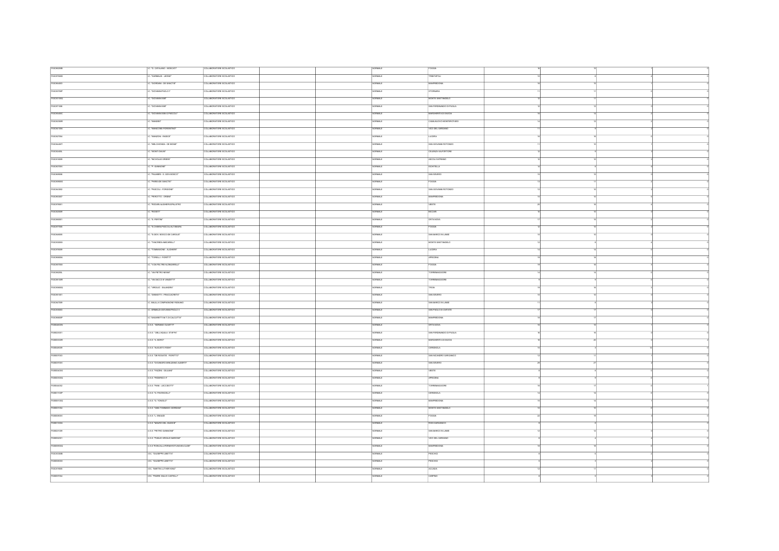| FGIC86200B        | C. "G. CATALANO - MOSCATI"             | COLLABORATORE SCOLASTICO      | <b>VORMALE</b>      | <b>FOGGIA</b>            |  |  |
|-------------------|----------------------------------------|-------------------------------|---------------------|--------------------------|--|--|
| FGIC87500D        | C. "GARBALDI - LEONE"                  | COLLABORATORE SCOLASTICO      | ORMALE              | RNITAPOLI                |  |  |
| FGIC864003        | C. "GIORDANI - DE SANCTIS"             | COLLABORATORE SCOLASTICO      | <b>SAMON</b>        | <b>MANFREDONIA</b>       |  |  |
| FGIC83700P        | C. YOK'NANN PACI O.F.                  | COLLABORATORE SCOLASTICO      | NORMALE             | <b>STORNARA</b>          |  |  |
|                   |                                        |                               |                     |                          |  |  |
| FGIC83100Q        | IC. "GIOVANNI XXII"                    | COLLABORATORE SCOLASTICO      | ORMALE              | MONTE SANTANGELO         |  |  |
| FGICartoos        | IC. GIOVANNI XXIIT                     | COLLABORATORE SCOLASTICO      | <b>VORMALE</b>      | SAN FERDINANDO DI PUGLIA |  |  |
| FGI085400C        | IC. "GIOVANNI XXII-G.PASCOLI"          | COLLABORATORE SCOLASTICO      | <b>SAMRON</b>       | MARCHERITA DI SAVOIA     |  |  |
| FGIC82300R        | C. WANDES"                             | COLLABORATORE SCOLASTICO      | NORMALE             | CASALNUOVO MONTEROTARO   |  |  |
| FGIC84100A        | . WANDONE-FIORENTINO*                  | COLLABORATORE SCOLASTICO      | <b>STANDA</b>       | VICO DEL GARGANO         |  |  |
| FGIC827004        | LC. "MANZONI - RADICE"                 | COLLABORATORE SCOLASTICO      | NORMALE             | LUCERA                   |  |  |
|                   |                                        |                               |                     |                          |  |  |
| FGIC84400T        | . WELCHIONDA - DE BONS"                | COLLABORATORE SCOLASTICO      | NORMALE             | SAN GIOVANNI ROTONDO     |  |  |
| FGIC82400L        | .<br>MONTI DAUNE                       | COLLABORATORE SCOLASTICO      | ORMALE              | CELENZA VALFORTORE       |  |  |
| FGICatagos        | C. "NICHOLAS GREEN"                    | COLLABORATORE SCOLASTICO      | NORMAL F            | ASCOLI SATRIANO          |  |  |
| FGIC80700V        | IC. P. GWINONE"                        | COLLABORATORE SCOLASTICO      | <b>VORMALE</b>      | <b>BOHTELLA</b>          |  |  |
| FGC889006         | C. PALMERI - S. GIOV.BOSCO"            | COLLABORATORE SCOLASTICO      | <b>VORMALE</b>      | SAN SEVERO               |  |  |
| FGIC85900G        | . PARISIDE SANCTIST                    | COLLABORATORE SCOLASTICO      | <b>SAMRO</b>        | FOGGIA                   |  |  |
| FGIC843002        | C. PASCOLI - FORGIONE*                 | COLLABORATORE SCOLASTICO      | NORMALE             | SAN GIOVANNI ROTONDO     |  |  |
|                   | C. PEROTTO - ORSNT                     | COLLABORATORE SCOLASTICO      | <b>STARION</b>      | <b>MANFREDONA</b>        |  |  |
| FGIC863007        |                                        |                               |                     |                          |  |  |
| FGIC878001        | C. TRODARIALIGHERI-SPALATRO            | COLLABORATORE SCOLASTICO      | <b>RMALE</b>        | <b>VESTE</b>             |  |  |
| FGIC820009        | C. ROSETT                              | COLLABORATORE SCOLASTICO      | <b>VORMALE</b>      | BICCARD                  |  |  |
| FGC880001         | LC. "S. PERTINT                        | COLLABORATORE SCOLASTICO      | <b>VORMALE</b>      | ORTANOVA                 |  |  |
| FGICSTROOS        | C. "S. CHIARA-PASCOLI-ALTAMURA         | COLLABORATORE SCOLASTICO      | NORMALE             | FOGGIA                   |  |  |
| FGC848005         | C. "S.GOV. BOSCO-DE CAROLIS"           | OLLABORATORE SCOLASTICO       | VORMALE             | SAN MARCO IN LAMB        |  |  |
| <b>FGIC83000X</b> | IC. TANCREDI-MACARELLE                 | COLLABORATORE SCOLASTICO      | NORMALE             | MONTE SANTANGELO         |  |  |
| FGICarecco        | C. TOMMSONE - AUGHERIT                 | .<br>COLLARCEATORE SCOLASTICO | NORMALE             | <b>TUCERA</b>            |  |  |
|                   |                                        |                               |                     |                          |  |  |
| FGC8550A          | C. TORELLI - FIORITTI"                 | COLLABORATORE SCOLASTICO      | <b>SAMPLE</b>       | APRICENA                 |  |  |
| FGIC85700X        | IC. V.DAFELTRE-N.ZNGARELLE             | COLLABORATORE SCOLASTICO      | NORMALE             | FOGGIA                   |  |  |
| FGC88200L         | C. VAPETRONENNE                        | COLLABORATORE SCOLASTICO      | <b>VORMALE</b>      | CRREMAGGIOR              |  |  |
| FGIC88100R        | C. "VA SACCO E VANZETTI"               | COLLABORATORE SCOLASTICO      | NORMALE             | TORREMAGGIORE            |  |  |
| FGC85800Q         | C. VIRGLIO - SALANDRA*                 | COLLABORATORE SCOLASTICO      | NORMALE             | TROIA                    |  |  |
| FGIC851001        | IC. ZANNOTTI - FRACCACRETA*            | COLLABORATORE SCOLASTICO      | NORMALE             | SAN SEVERO               |  |  |
|                   |                                        | COLLABORATORE SCOLASTICO      | <b>VORMALE</b>      | SAN MARCO IN LAMIS       |  |  |
| FGIC847009        | C. BALLLA COMPAGNONE RIGNANO           |                               |                     |                          |  |  |
| FGC835003         | LC. GRIMALDI-GIOVANNI PAOLO II         | COLLABORATORE SCOLASTICO      | ORMALE              | SAN PACLO DI CMTATE      |  |  |
| FGC8880P          | IC."UNGARETTHM.T.DI CALCUTTA"          | COLLABORATORE SCOLASTICO      | NORMALE             | MANFREDONIA              |  |  |
| FGS04600N         | ILS.S. "ADRANO OLMETTI"                | COLLABORATORE SCOLASTICO      | <b>STANDA</b>       | <b>ORTANOVA</b>          |  |  |
| FGB023001         | USS. "DELL'AQUEA STAFFA"               | COLLABORATORE SCOLASTICO      | NORMALE             | SAN FERDINANDO DI PUGLIA |  |  |
| FGB05300R         | USS 'A MORO'                           | COLLABORATORE SCOLASTICO      | ORMALE              | MARGHERITA DI SAVOIA     |  |  |
| FGB048009         | ILS S. "AUGUSTO RIGHT                  | COLLABORATORE SCOLASTICO      | <b>RMALE</b>        | CERIGNOLA                |  |  |
| FGIS007003        | USS THEROGATIS - FIORETTOT             | COLLABORATORE SCOLASTICO      | <b>VORMAL F</b>     | SAN NICANDRO GARGANICO   |  |  |
|                   |                                        |                               |                     |                          |  |  |
| FGB03700V         | ILS S. "DI SANGRO-MINUZIANO-ALBERTI"   | COLLABORATORE SCOLASTICO      | <b>WALE</b>         | SAN SEVERO               |  |  |
| FGB00400G         | USS. TAZZNI - GULIANT                  | COLLABORATORE SCOLASTICO      | NORMALE             | VESTE                    |  |  |
| FGB00300Q         | USS. VEDERICO IT                       | COLLABORATORE SCOLASTICO      | <b>VORMALE</b>      | APRICENA                 |  |  |
| FGB044002         | USS. TWI-LECCBOTT                      | COLLABORATORE SCOLASTICO      | <b>SAMROV</b>       | <b>TORREMAGGIORE</b>     |  |  |
| FGIS01100P        | <b>USS. G. PAVONCELL IT</b>            | OLLABORATORE SCOLASTICO       | ORMALE              | CERIGNOLA                |  |  |
| FGB06100Q         | USS. G. TONICLOT                       | COLLABORATORE SCOLASTICO      | <b>VORMALE</b>      | <b>MANFREDONA</b>        |  |  |
| FGB001004         | ILS S. "GIAN TOMMASO GIORDANI"         | COLLABORATORE SCOLASTICO      | <b>SAMRON</b>       | MONTE SANTANGELO         |  |  |
|                   |                                        |                               |                     | OGGIA                    |  |  |
| FGB00800V         | ILS S. T. ENAUDI                       | COLLABORATORE SCOLASTICO      | ORMALE              |                          |  |  |
| FGB01300A         | ILS S. WAURO DEL GUDICE"               | COLLABORATORE SCOLASTICO      | NORMALE             | RODI GARGANICO           |  |  |
| FGB021009         | U.S.S. "PIETRO GIANNONE"               | COLLABORATORE SCOLASTICO      | NORMALE             | SAN MARCO IN LAMS        |  |  |
| FGB052001         | ILS S. "PUBLIC VRGLIO MARCNE"          | COLLABORATORE SCOLASTICO      | NORMALE             | VICO DEL GARGANO         |  |  |
| FGB05000Q         | ILS.S. "RONCALLI-FERM-ROTUNDI-EUCLIDE" | COLLABORATORE SCOLASTICO      | <b>NORMALE</b>      | MANFREDONIA              |  |  |
| FGC833008         | <b>IDC. "GUSEPPE LBETTA"</b>           | COLLABORATORE SCOLASTICO      | ORMALE              | PESCHICI                 |  |  |
| FGB05800X         | TOC TOTREDOR LIBETTAT                  | COLLABORATORE SOOLASTICO      | NORMALE <sup></sup> | PESCHICI                 |  |  |
| FGICatsoos        | LOC. "MARTIN LUTHER KING"              | COLLABORATORE SCOLASTICO      | <b>SAMRO</b>        | ACCADIA                  |  |  |
| FGB057004         | LOC. TRORE QULIO CASTELLE              | COLLABORATORE SCOLASTICO      |                     | CARPNO                   |  |  |
|                   |                                        |                               | NORMALE             |                          |  |  |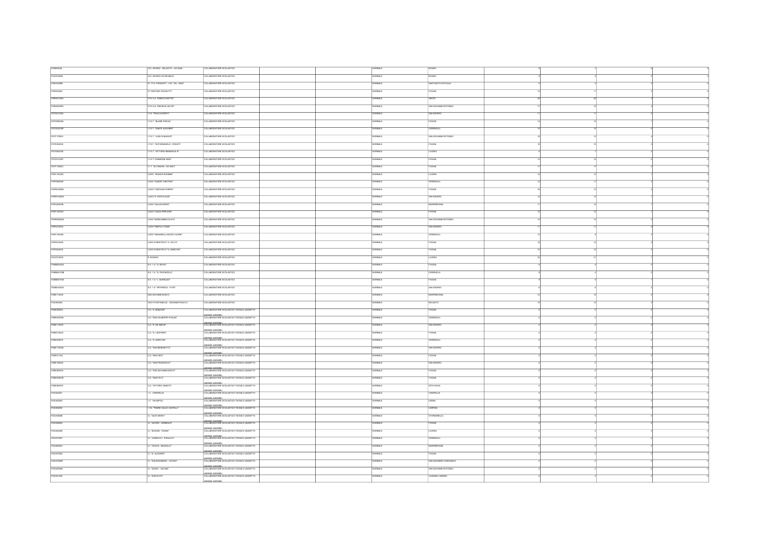| FGB05400L         | OC. BOVINO - DELICETO - ACCADIA     | COLLABORATORE SCOLASTICO                                       | ORMALE          | <b>BOWNO</b>          |  |  |
|-------------------|-------------------------------------|----------------------------------------------------------------|-----------------|-----------------------|--|--|
| FGICatecon        | OC. BOVING-VA DEIMILLE              | COLLABORATORE SCOLASTICO                                       | <b>RMALE</b>    |                       |  |  |
|                   |                                     |                                                                |                 |                       |  |  |
| FGRI16000B        | IP. P.G. FRASSATE - LOC. TAL. KING' | COLLABORATORE SCOLASTICO                                       | ORMALE          | SANTAGATA DI PUGLIA   |  |  |
| FGRI020004        | IP "ANTONIO PACNOTTE                | COLLABORATORE SCOLASTICO                                       | <b>CONALE</b>   | FOCCIA                |  |  |
| FGRH010002        | IP.E.O.A. "ENRICO MATTER"           | COLLABORATORE SCOLASTICO                                       | <b>HANCE</b>    | VESTE                 |  |  |
| FGRH080003        | IP.E.O.A. WICHELE LECCE"            | COLLABORATORE SCOLASTICO                                       | ORMALE          | SAN GIOVANNI ROTONDO  |  |  |
| FGTD010004        | IT.E. "FRACCACRETA"                 | COLLABORATORE SCOLASTICO                                       | <b>TOLAL</b> E  | SAN SEVERO            |  |  |
| FGTD08000A        | IT ET. "BLASE PASCAL"               | COLLABORATORE SCOLASTICO                                       | NORMALE         | <b>FOGGIA</b>         |  |  |
|                   |                                     |                                                                |                 |                       |  |  |
| FGTD02000P        | IT.E.T. "DANTE ALIGHER"             | COLLABORATORE SCOLASTICO                                       | ORMAL           | CERIGNOLA             |  |  |
| FGTF17000V        | IT ET. TUGI DI MAGGIO"              | COLLABORATORE SCOLASTICO                                       | NORMALE         | SAN GIOVANNI ROTONDO  |  |  |
| FGTE020006        | IT.E.T. "NOTARANGELO - ROSAT        | COLLABORATORE SCOLASTICO                                       | ORMALE          | <b>FOGGIA</b>         |  |  |
| FGTD060005        | LT.E.T. "VITTORIO EMANUELE II"      | COLLABORATORE SCOLASTICO                                       | ORMALE          | LUCERA                |  |  |
| FGT021000T        | IT ET. GINNONE MAST                 | COLLABORATORE SCOLASTICO                                       | NORMALE         | <b>FOGGIA</b>         |  |  |
|                   |                                     |                                                                |                 |                       |  |  |
| FGTF13000C        | IT.T. "ALTAMURA - DA VINCI"         | COLLABORATORE SCOLASTICO                                       | ORMALE          | FOGGM                 |  |  |
| FGPC15000C        | LICEO "BONGH-ROSMIN"                | COLLABORATORE SCOLASTICO                                       | <b>VORMALE</b>  | LUCERA                |  |  |
| FGPS08000E        | LICEO "ALBERT EINSTEIN"             | COLLABORATORE SCOLASTICO                                       | ORMALE          | ERIGNOLA              |  |  |
| FGPM03000E        | LICEO "CAROLINA POERIO              | COLLABORATORE SCOLASTICO                                       | <b>STANDA</b>   | <b>FOGGIA</b>         |  |  |
| FGPM10000G        | LICEO "E. PESTALOZZ"                | COLLABORATORE SCOLASTICO                                       | ORMALE          | SAN SEVERO            |  |  |
|                   |                                     | COLLABORATORE SCOLASTICO                                       |                 |                       |  |  |
| FGP520000B        | LICEO "GALLEI-MORO"                 |                                                                | RMALE           | NFREDONA              |  |  |
| FGPC160003        | LICEO "LANZAPERUGNI"                | COLLABORATORE SCOLASTICO                                       | ORMALE          | FOCOM                 |  |  |
| FGPM05000Q        | LICEO "MARIA MMACOLATA"             | COLLABORATORE SCOLASTICO                                       | ORMALE          | SAN GIOVANNI ROTONDO  |  |  |
| FGP5210002        | LICEO "RISPOLI-TOND!"               | COLLABORATORE SCOLASTICO                                       | VORMALE         | SAN SEVERO            |  |  |
| FGPC180008        | LICEO "ZINGARELLI-SACRO CUORE"      | OLLABORATORE SCOLASTICO                                        | $m_{H}$         | ERICNOL               |  |  |
| FGP5010008        | UCEO SCENTIFICO "A VOLTA"           | COLLABORATORE SCOLASTICO                                       | <b>RMALE</b>    | <b>FOGGIA</b>         |  |  |
|                   |                                     |                                                                |                 |                       |  |  |
| FGP5040004        | LICEO SCENTIFICO "G. MARCONI"       | COLLABORATORE SCOLASTICO                                       | NORMALE         | <b>FOGGIA</b>         |  |  |
| FGVC01000C        | R. BONGHI                           | OLLABORATORE SCOLASTICO                                        | <b>RMALE</b>    | UCERA                 |  |  |
| FGMM00400C        | 88.16.10.80VIDT                     | COLLABORATORE SCOLASTICO                                       | ORMALE          | <b>FOGGIA</b>         |  |  |
| FGMM04100B        | <b>S.S. 1 G. TE. PAVONCELLE</b>     | COLLABORATORE SCOLASTICO                                       | VORMALE         | CERIGNOL              |  |  |
| FGMM00700X        | S.S. 1 G. L. MURIALDO"              | COLLABORATORE SCOLASTICO                                       | <b>SURFACE</b>  | <b>FOGGIA</b>         |  |  |
| FGMM148003        | S.S. 1 G. PETRANCA - P.PID"         | COLLABORATORE SCOLASTICO                                       | <b>VORMAL</b> F | SAN SEVERO            |  |  |
|                   |                                     |                                                                |                 |                       |  |  |
| FGEE113005        | SAN GIOVANNI BOSCO                  | COLLABORATORE SCOLASTICO                                       | ORMALE          | MANFRED               |  |  |
| FGIC88300C        | MOD EFONTAMELE - GOVANNEBAOLO E     | COLLABORATORE SCOLASTICO                                       | consus e        | DELICETO              |  |  |
| FGEE00900L        | C.D. "A MANZONE                     | COLLABORATORE SCOLASTICO TECNICO (ADDETTO                      | ORMALE          | <b>COCIA</b>          |  |  |
| FGEE03200N        | C.D. TOON GIUSEPPE PUGLISIT         | AZIENDE AGRARIE)<br>COLLABORATORE SCOLASTICO TECNICO (ADDETTO  | NORMALE         | CERICNOLA             |  |  |
| FGEE112009        | C.D. "E. DE AMOS"                   | AZIENDE AGRARIE)<br>COLLABORATORE SCOLASTICO TECNICO (ADDETTO  | NORMALE         | SAN SEVERO            |  |  |
|                   |                                     | ATHINH ACRAIRS<br>COLLABORATORE SCOLASTICO TECNICO (ADDETTO    |                 |                       |  |  |
| FGEE01200C        | C.D. "G. LEOPARD!"                  |                                                                | <b>SAMROV</b>   | <b>FOGGIA</b>         |  |  |
| FGEE02900T        | C.D. "G. MARCON!"                   | AZIENDE AGRARIE)<br>COLLABORATORE SCOLASTICO TECNICO (ADDETTO  | ORMALE          | CERIGNOLA             |  |  |
| FGEE11000N        | C.D. "SAN BENEDETTO"                | AZIENDE AGRARIE)<br>COLLABORATORE SCOLASTICO TECNICO (ADDETTO  | NORMALE         | SAN SEVERO            |  |  |
| FGEE01100L        | C.D. "SAN CIRO"                     | AZIENDE AGRARIE)<br>COLLABORATORE SCOLASTICO TECNICO (ADDETTO  | NORMALE         | <b>FOGGIA</b>         |  |  |
| FGEE108002        | C.D. "SAN FRANCESCO"                | AZIENNE ACIRARES<br>COLLABORATORE SCOLASTICO TECNICO (ADDETTO  | ORMALE          | SAN SEVERO            |  |  |
| FGEEDISCOP        | C.D. "SAN GIOVANNI BOSCO"           | AZIENDE AGRARIE)<br>COLLABORATORE SCOLASTICO TECNICO (ADDETTO  | NORMALE         | <b>FOGGIA</b>         |  |  |
| <b>FOFFOORCOR</b> | CD "SAN PIO X"                      | AZIENDE AGRARIE)<br>COLLABORATORE SCOLASTICO TECNICO (ADDETTO) | NORMAL F        | FOCOM                 |  |  |
|                   |                                     |                                                                |                 |                       |  |  |
| FGEEDSCOT         | C.D. "WITCHSO VENETO"               | AZIENDE AGRARIE)<br>COLLABORATORE SCOLASTICO TECNICO (ADDETTO  | ORMALE          | <b>ORTANOVA</b>       |  |  |
| FGIC822001        | C. CARAPELLE                        | AZIENDE AGRARIE).<br>COLLABORATORE SCOLASTICO TECNICO (ADDETTO | OBMA F          | CARAPELLE             |  |  |
| FGC82500C         | C. VANAPOLI                         | AZIENDE AGRARIE)<br>COLLABORATORE SCOLASTICO TECNICO (ADDETTO  | <b>ORMALI</b>   | LESIV                 |  |  |
| FGIC806003        | <b>CC. TADRE GULIO CASTELLY</b>     | AZIENDE AGRARIE)<br>COLLABORATORE SCOLASTICO TECNICO (ADDETTO  | <b>SAMRON</b>   | CARPINO               |  |  |
| FGIC83800E        | "WEDO MORO"                         | AZIENDE AGRARIE)<br>COLLABORATORE SCOLASTICO TECNICO (ADDETTO  | <b>ORMALE</b>   | <b>STORNARELL</b>     |  |  |
|                   |                                     |                                                                |                 |                       |  |  |
| FGC856004         | C. "ALFIERI - GARBALDI"             | AZENDE AGRARIE)<br>COLLABORATORE SCOLASTICO TECNICO (ADDETTO   | <b>VORMALE</b>  | FOGGIA                |  |  |
| FGIC842006        | C. "BOZZNI - FASAN"                 | AZIENDE AGRARIE)<br>COLLABORATORE SCOLASTICO TECNICO (ADDETTO  | VORMALE         | LUCERA                |  |  |
| FGICarsoot        | C. "CARDUCCI - PACLILLO"            | AZIENDE AGRARIE)<br>COLLABORATORE SCOLASTICO TECNICO (ADDETTO  | ORMALE          | ERIGNOLA              |  |  |
| FGC8550V          | C. "CROCE - MOZZLLO"                | AZIENDE AGRARIE)<br>COLLABORATORE SCOLASTICO TECNICO (ADDETTO  | <b>VORMALE</b>  | MANFREDONA            |  |  |
| FGIC87000A        | C. D. AUGHERT                       | AZIENDE AGRARIE)<br>COLLABORATORE SCOLASTICO TECNICO (ADDETTO  | <b>VORMALE</b>  |                       |  |  |
| FGIC87900R        | C. T/ALESSANDRO - VOCINO"           | AZIENNE AGRARIES<br>COLLABORATORE SCOLASTICO TECNICO (ADDETTO  | NORMALE         | SAN NCANDRO GARGANICO |  |  |
|                   |                                     | AZIENDE AGRARIE)<br>COLLABORATORIE SCOLASTICO TECNICO (ADDETTO |                 |                       |  |  |
| FGIC84500N        | . TOANTE - GALIANT                  |                                                                | ORMALE          | SAN GIOVANNI ROTONDO  |  |  |
| FGIC821005        | C. D'APOLITO"                       | AZIENDE AGRARIE)<br>COLLABORATORE SCOLASTICO TECNICO (ADDETTO  |                 | CAGNANO VARANO        |  |  |
|                   |                                     | TENDE AGRARIES                                                 |                 |                       |  |  |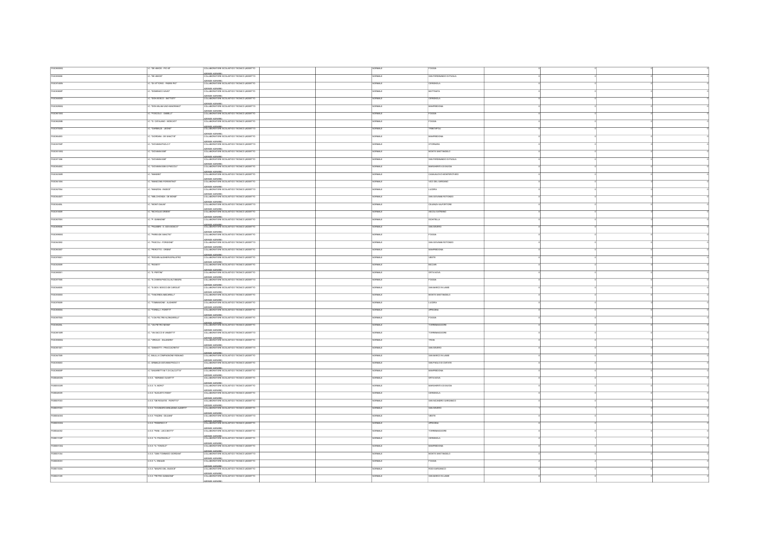| FGIC88000Q       | .<br>The AMCIS - PIO XIT             | OLLABORATORE SCOLASTICO TECNICO (ADDETTO                                        | ORMALE          |                             |  |  |
|------------------|--------------------------------------|---------------------------------------------------------------------------------|-----------------|-----------------------------|--|--|
| FGIC855008       | THE AMCS*                            | AZIENDE AGRARIE)<br>  COLLABORATORE SCOLASTICO TECNICO (ADDETTO                 | <b>RMAL</b>     | AN FERDINANDO DI PUGLIA     |  |  |
|                  |                                      | AZENDE AGRARIE)<br>COLLABORATORE SCOLASTICO TECNICO (ADDETTO                    |                 |                             |  |  |
| FGIC87400N       | C. TOI VITT ORIO - PADRE PIOT        |                                                                                 | ORMALE          | CERIGNOLA                   |  |  |
| FGIC80800P       | TOWERD'S SAVY                        | AZIENDE AGRARIE)<br>COLLABORATORE SCOLASTICO TECNICO (ADDETTO                   | <b>VORMAL</b> F | <b>MATTNATA</b>             |  |  |
| FGIC84500D       | .<br>TOON BOSCO - BATTISTIT          | AZIENDE AGRARIE)<br>COLLABORATORE SCOLASTICO TECNICO (ADDETTO                   | <b>RMALE</b>    | ERICNOLA                    |  |  |
| FGC82900Q        | C. "DON MILANI UNO+MAJORANO          | AZIENINE ACRAIRES<br>COLLABORATORE SCOLASTICO TECNICO (ADDETTO                  | ORMALE          | <b>MANFREDONIA</b>          |  |  |
| FGIC86100G       | : 70500L0 - GABELLI                  | AZENDE AGRARIE)<br>COLLABORATORE SCOLASTICO TECNICO (ADDETTO                    | ORMALE          | <b>OGGIA</b>                |  |  |
| FGIC86200B       | IC. "G. CATALANO - MOSCATI"          | AZIENDE AGRARIE)<br>COLLABORATORE SCOLASTICO TECNICO (ADDETTO                   | NORMALE         | OGGIA                       |  |  |
|                  |                                      |                                                                                 |                 |                             |  |  |
| FGIC87500D       | -<br>CARBALDI - LEONE*               | AZIENDE AGRARIE)<br>COLLABORATORE SCOLASTICO TECNICO (ADDETTO                   | ORMALE          | <b>FRINTAPOL</b>            |  |  |
| FGIC854003       | C. GIORDAN - DE SANCTIST             | AZIENINE ACRAIRES.<br>COLLABORATORE SCOLASTICO TECNICO (ADDETTO                 | NORMALE         | MANFREDONA                  |  |  |
| FGC83700P        | .<br>GIOVANNI PAOLO F                | AZENDE AGRARIE)<br>COLLABORATORE SCOLASTICO TECNICO (ADDETTO                    | ORMALE          | <b>STORNAR</b>              |  |  |
| FGIC83100Q       | . GIOVANNI XXIIT                     | AZENDE AGRARIE)<br>COLLABORATORE SCOLASTICO TECNICO (ADDETTO                    | <b>RMALE</b>    | MONTE SANTANGELO            |  |  |
| FGIC871006       | C. "GIOVANNI XXII"                   | AZIENDE AGRARIE)<br>COLLABORATORE SCOLASTICO TECNICO (ADDETTO                   | <b>VORMALE</b>  | SAN FERDINANDO DI PUGLIA    |  |  |
|                  |                                      | AZIENDE AGRARIE)<br>COLLABORATORE SCOLASTICO TECNICO (ADDETTO                   |                 |                             |  |  |
| FGIC85400C       | .<br>Ciadvanni XXII-G PASCO          |                                                                                 | ORMAL           | MARGHERITA DI SAVOIA        |  |  |
| FGIC82300R       | : WANDES"                            | AZIENDE AGRARIES<br>COLLABORATORE SCOLASTICO TECNICO (ADDETTO                   | <b>VORMALE</b>  | CASALNUOVO MONTEROTARO      |  |  |
| FGIC84100A       | MANICONE-FIORENTINO                  | AZENDE AGRARIE)<br>COLLABORATORE SCOLASTICO TECNICO (ADDETTO                    | <b>RMALE</b>    | VICO DEL GARGANO            |  |  |
| FGC827004        | . WANZON - RADICE*                   | AZIENDE AGRARIE)<br>COLLABORATORE SCOLASTICO TECNICO (ADDETTO                   | RMALI           |                             |  |  |
| <b>FOCALEMT</b>  | THE OKONOL OF BOARD                  | AZIENDE AGRARIES<br>COLLABORATORE SCOLASTICO TECNICO (ADDETTO                   | OBMA F          | <b>SAN GIOVANNI BOTOMBO</b> |  |  |
|                  | WONTI DAUNT                          | AZIENDE AGRARIE)<br>COLLABORATORE SCOLASTICO TECNICO (ADDETTO                   | <b>RMAL</b>     |                             |  |  |
| FGC82400L        |                                      | AZENDE AGRARIE)<br>COLLABORATORE SCOLASTICO TECNICO (ADDETTO                    |                 | ELENZAVALFORTORE            |  |  |
| FGICatago        | THICHOLAS GREEN                      |                                                                                 | ORMALE          | ASCOLI SATRIANO             |  |  |
| FGC80700V        | C. 'P. GIANNONE"                     | AZIENDE AGRARIE)<br>COLLABORATORE SCOLASTICO TECNICO (ADDETTO                   | ORMALE          | <b>ROUTELLA</b>             |  |  |
| FGC889006        | .<br>TPALMERI - S. GIOV.BOSCO*       | AZIENDE AGRARIE)<br>  COLLABORATORE SCOLASTICO TECNICO (ADDETTO                 | ORMALE          | SAN SEVERO                  |  |  |
| FGC8500C         | . PARISI-DE SANCTIST                 | AZIENINE ACRAIRES<br>COLLABORATORE SCOLASTICO TECNICO (ADDETTO                  | ORMALE          | <b>OCCIA</b>                |  |  |
| FGIC843002       | . PASCOLI - FORGIONE"                | AZENDE AGRARIE)<br>COLLABORATORE SCOLASTICO TECNICO (ADDETTO                    | <b>JRMALI</b>   | SAN GIOVANNI ROTOND         |  |  |
|                  | .<br>TRINOTTO - ORSN'T               | AZIENDE AGRARIE)<br>COLLABORATORE SCOLASTICO TECNICO (ADDETTO                   |                 |                             |  |  |
| FGIC863007       |                                      |                                                                                 | <b>VORMALE</b>  | MANFREDONIA                 |  |  |
| FGIC878001       | TRODARIALIGHERI-SPALATRO             | AZIENDE AGRARIE)<br>COLLABORATORE SCOLASTICO TECNICO (ADDETTO                   | ORMALE          | VESTE                       |  |  |
| FGIC820009       | C. ROSETT                            | AZIENNE ACRARES<br>COLLABORATORE SCOLASTICO TECNICO (ADDETTO                    | VORMALE         | <b>BICCARD</b>              |  |  |
| FGIC880001       | C. 'S. PERTINT                       | AZIENDE AGRARIE)<br>COLLABORATORE SCOLASTICO TECNICO (ADDETTO                   | ORMALE          | ORTANOW                     |  |  |
| FGIC877005       | C. "S.CHIARA-PASCOLI-ALTAMURA        | AZENDE AGRARIE)<br>COLLABORATORE SCOLASTICO TECNICO (ADDETTO                    | ORMALE          | AGGG                        |  |  |
| FGIC848005       | LC. "S. GOV. BOSCO-DE CAROLIS"       | AZIENDE AGRARIE)<br>COLLABORATORE SCOLASTICO TECNICO (ADDETTO                   | NORMALE         | SAN MARCO IN LAMIS          |  |  |
|                  |                                      | AZIENDE AGRARIE)<br>COLLABORATORE SCOLASTICO TECNICO (ADDETTO                   |                 |                             |  |  |
| FGIC83000X       | TANCREDIAMCARELLY                    |                                                                                 | ORMAL           | MONTE SANTANGEL             |  |  |
| FGICa76009       | C. TOMMASONE - ALIGHERIT             | AZIENDE AGRARIES<br>COLLABORATORE SCOLASTICO TECNICO (ADDETTO                   | <b>VORMALE</b>  | LUCERA                      |  |  |
| FGIC85500A       | . TORELLI - FIORITTI'                | AZIENDE AGRARIE)<br>COLLABORATORE SCOLASTICO TECNICO (ADDETTO                   | ORMALE          | APRICENA                    |  |  |
| FGC85700X        | IC. V.DAFELTRE-N.ZNGARELLIT          | AZIENDE AGRARIE)<br>COLLABORATORE SCOLASTICO TECNICO (ADDETTO                   | <b>JRMALI</b>   |                             |  |  |
| FGIC88200L       | TAL PETRO MEMIT                      | AZIENDE AGRARIES<br>COLLABORATORE SCOLASTICO TECNICO (ADDETTO                   | OBMAL F         | ORREMAGIORE                 |  |  |
| FGIC88100R       | .<br>WA SACCO E VANZETTIT            | AZIENNE ACRARIE\<br>COLLABORATORE SCOLASTICO TECNICO (ADDETTO                   |                 | <b>RREMAGGIORE</b>          |  |  |
|                  |                                      | AZIENDE AGRARIE)<br>COLLABORATORE SCOLASTICO TECNICO (ADDETTO)                  | <b>UMLE</b>     |                             |  |  |
| FGC85800Q        | THROUGH A SALANDRAT                  |                                                                                 | ORMALE          | TROM                        |  |  |
| FGIC851001       | ZANNOTTI - FRACCACRETA               | AZIENDE AGRARIE)<br>COLLABORATORE SCOLASTICO TECNICO (ADDETTO                   | ORMALE          | SAN SEVERO                  |  |  |
| FGIC847009       | C. BALLLA COMPAGNONE RIGNANO         | AZIENDE AGRARIE)<br>  COLLABORATORIE SCOLASTICO TECNICO (ADDETTO                | ORMALE          | SAN MARCO IN LAMIS          |  |  |
| FGIC835003       | . GRIMALDI-GIOVANNI PAOLO I          | AZIENINE ACENARES<br>COLLABORATORE SCOLASTICO TECNICO (ADDETTO                  | ORMALE          | SAN PACLO DI CMTATE         |  |  |
| FGIC86500P       | C."UNGARETTHM.T.DI CALCUTTA"         | AZENDE AGRARIE)<br>COLLABORATORE SCOLASTICO TECNICO (ADDETTO                    | ORMALI          |                             |  |  |
| FGB04800N        | USS. VORING CLIVETTE                 | AZIENDE AGRARIE)<br>COLLABORATORE SCOLASTICO TECNICO (ADDETTO                   | NORMALE         | <b>ORTANOVA</b>             |  |  |
|                  |                                      |                                                                                 |                 |                             |  |  |
| FGB05300R        |                                      |                                                                                 |                 |                             |  |  |
|                  | USS."A MORO"                         | AZIENDE AGRARIE)<br>COLLABORATORE SCOLASTICO TECNICO (ADDETTO                   | ORMALE          | MARGHERITA DI SAVOIA        |  |  |
| FGB048009        | <b>ILS.S. "AUGUSTO RIGHT</b>         | AZENDE AGRARIE)<br>COLLABORATORE SCOLASTICO TECNICO (ADDETTO                    | <b>VORMALE</b>  | CERIGNOLA                   |  |  |
| FGB007003        | U.S.S. "DE ROGATS - FIORITTO"        | AZIENDE AGRARIE)<br>COLLABORATORE SCOLASTICO TECNICO (ADDETTO                   | ORMALE          | SAN NCANDRO GARGANIC        |  |  |
| FGB03700V        | U.S.S. "DI SANGRO-MINUZIANO-ALBERTI" | AZENDE AGRARIE)<br>COLLABORATORE SCOLASTICO TECNICO (ADDETTO                    | <b>SJANDK</b>   | SAN SEVERO                  |  |  |
|                  |                                      |                                                                                 | NORMALE         |                             |  |  |
| FGB00400G        | USS TAZZNI-GULIANT                   | AZIENDE AGRARIE)<br>COLLABORATORE SCOLASTICO TECNICO (ADDETTO                   |                 | veste                       |  |  |
| FGB00300Q        | U.S.S. TEDERICO IT                   | AZIENDE AGRARIE)<br>COLLABORATORE SCOLASTICO TECNICO (ADDETTO                   | ORMALE          | APRICENA                    |  |  |
| FGIS044002       | <b>ILS.S. "INNI - LECCISOTTI"</b>    | AZIENDE AGRARIES<br>COLLABORATORE SCOLASTICO TECNICO (ADDETTO                   | NORMALE         | <b>TORREMAGGIORE</b>        |  |  |
| FGIS01100P       | ILS.S. "G. PAVONCELL!"               | AZIENDE AGRARIE)<br>COLLABORATORE SCOLASTICO TECNICO (ADDETTO                   | ORMALE          | ERIGNOLA                    |  |  |
| FGB06100Q        | U.S.S. "G. TONICLO"                  | AZIENDE AGRARIE)<br>COLLABORATORE SCOLASTICO TECNICO (ADDETTO                   | ORMALE          |                             |  |  |
| FGIS001004       | <b>U.S.S. "GIAN TOMMASO GIORDANI</b> | AZIENDE AGRARIEN<br>COLLABORATORE SCOLASTICO TECNICO (ADDETTO                   | OBMA F          | MONTE SANTINGELO            |  |  |
|                  |                                      |                                                                                 |                 |                             |  |  |
| <b>FGB00800V</b> | ILS.S. T. ENAUDI                     | APIFNINE ACIRARES<br>COLLABORATORE SCOLASTICO TECNICO (ADDETTO                  | RMALE           | <b>SGM</b>                  |  |  |
| FGS01300A        | ILS S. TAAURO DEL GUDICET            | AZIENDE AGRARIE)<br>COLLABORATORE SCOLASTICO TECNICO (ADDETTO                   | ORMALE          | RODI GARGANICO              |  |  |
| FGB021009        | ILS.S. "PIETRO GIANNONE"             | AZIENDE AGRARIE)<br>COLLABORATORE SCOLASTICO TECNICO (ADDETTO<br>ZENDE AGRARIES | ORMALE          | SAN MARCO IN LAMB           |  |  |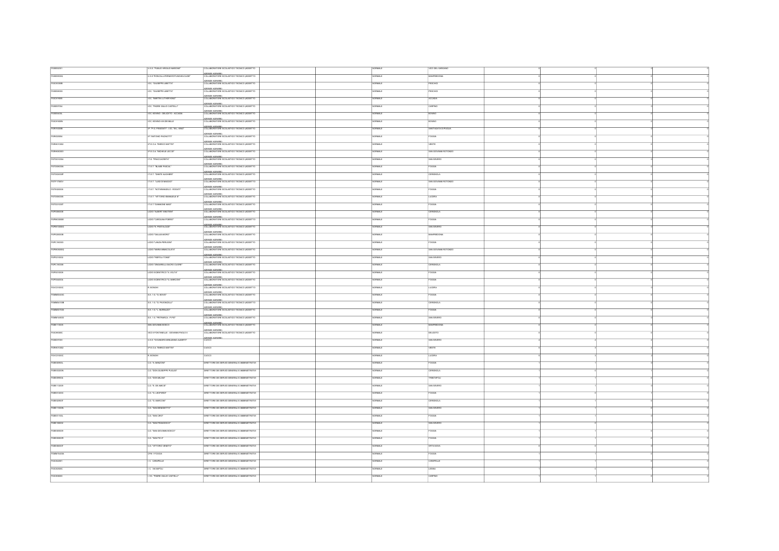| FGB052001         | <b>ISS. TUBLIO VRGLIO MARCINE"</b>     | OLLABORATORE SCOLASTICO TECNICO (ADDETTO                                 | ORMALE          | VICO DEL GARGANO            |  |  |
|-------------------|----------------------------------------|--------------------------------------------------------------------------|-----------------|-----------------------------|--|--|
| FGS05000          | IS S "RONCALL-FERM-ROTUNDI-EUCLIDE"    | AZIENDE AGRARIE)<br>COLLABORATORE SCOLASTICO TECNICO (ADDETTO            | <b>STANCE</b>   | <b><i>EREDONA</i></b>       |  |  |
| FGC83300B         | OC. "GUSEPPE LBETTA"                   | AZENDE AGRARIE)<br>COLLABORATORE SCOLASTICO TECNICO (ADDETTO             | <b>ORMALE</b>   | PESCHICI                    |  |  |
| FGB05800X         | OC 1008999 LBFTTA                      | AZIENDE AGRARIE)<br>COLLABORATORE SCOLASTICO TECNICO (ADDETTO            | <b>VORMALE</b>  | PESCHIP                     |  |  |
|                   |                                        |                                                                          |                 |                             |  |  |
| FGIC819005        | LOC. "MARTIN LUTHER KING"              | AZIENDE AGRARIE)<br>COLLABORATORE SCOLASTICO TECNICO (ADDETTO            | ORMALE          | ACCADIA                     |  |  |
| FGB057004         | OC. THORE GULIO CASTELLE               | AZIENINE ACIEARIES.<br>COLLABORATORE SCOLASTICO TECNICO (ADDETTO         | ORMALE          | CARPINO                     |  |  |
| FGB05400L         | OC. BOWNO - DELICETO - ACCADIA         | AZENDE AGRARIE)<br>COLLABORATORE SCOLASTICO TECNICO (ADDETTO             | <b>ORMALE</b>   | BOVING                      |  |  |
| FGICatecon        | OC. BOWNO-VA DEIMILLE                  | AZIENDE AGRARIE)<br>COLLABORATORE SCOLASTICO TECNICO (ADDETTO            | NORMALE         | BOVINO                      |  |  |
| FGRI16000B        | IP. "P.G. FRASSATI" - LOC. "M.L. KING" | AZIENDE AGRARIE)<br>COLLABORATORE SCOLASTICO TECNICO (ADDETTO            | ORMALE          | SANTAGATA DI PUGLIA         |  |  |
| FGRI020004        | IP. WITCNIO PACNOTTE                   | DIRMINI ACRARES<br>COLLABORATORE SCOLASTICO TECNICO (ADDETTO             | NORMALE         | <b>FOGGIA</b>               |  |  |
|                   |                                        | AZIENDE AGRARIE)<br>COLLABORATORE SCOLASTICO TECNICO (ADDETTO            |                 | VESTE                       |  |  |
| FGRHD10002        | IP.E.O.A. "ENRICO MATTEI"              | AZIENDE AGRARIE)<br>COLLABORATORE SCOLASTICO TECNICO (ADDETTO            | VORMALE         |                             |  |  |
| FGRH080003        | IP.E.O.A. WCHELE LECCE                 |                                                                          | <b>SAMK</b>     | SAN GIOVANNI ROTONDO        |  |  |
| <b>FGTD010004</b> | IT.E. "FRACCACRETA"                    | <u>VIENDE AGRARIE)</u><br>COLLABORATORE SCOLASTICO TECNICO (ADDETTO      | <b>VORMAL</b> F | <b>RAN REVERO</b>           |  |  |
| FGTD08000A        | IT ET. "BLASE PASCAL"                  | AZIENDE AGRARIE)<br>COLLABORATORE SCOLASTICO TECNICO (ADDETTO            |                 |                             |  |  |
| FGTD02000P        | IT ET. "DANTE ALIGHER!"                | AZIENDE AGRARIE)<br>COLLABORATORE SCOLASTICO TECNICO (ADDETTO            | <b>VORMALE</b>  | <b>CERIGNOLA</b>            |  |  |
| FGTF17000/        | IT.E.T. "LUGI DI MAGGIO"               | AZIENDE AGRARIE)<br>COLLABORATORE SCOLASTICO TECNICO (ADDETTO            | ORMALE          | SAN GIOVANNI ROTONDO        |  |  |
| <b>FGTE020006</b> | IT.E.T. "NOTANWIGELO - ROSATI"         | AZIENDE AGRARIE)<br>COLLABORATORE SCOLASTICO TECNICO (ADDETTO            | <b>VORMALE</b>  | <b>FOGGIA</b>               |  |  |
| FGTD060005        | LT.E.T. "VITTORIO EMANUELE III         | AZIENDE AGRARIE)<br>COLLABORATORE SCOLASTICO TECNICO (ADDETTO            | ORMALE          | <b>LUCERA</b>               |  |  |
|                   |                                        | AZIENDE AGRARIE)<br>COLLABORATORIE SCOLASTICO TECNICO (ADDETTO           |                 |                             |  |  |
| FGT021000T        | IT.E.T."GWWNONE MAST                   |                                                                          | <b>RMALE</b>    | $\overline{\text{XZG}}$     |  |  |
| FGPS08000E        | <b>LICEO "ALBERT ENSTEN"</b>           | AZIENDE AGRARIE).<br>^^H I ABORATORE SCOLASTICO TECNICO (ADDETTO         | ORMALE          | CERGNOLA                    |  |  |
| FGPM03000E        | LICEO "CAROLINA POERIO                 | AZIENDE AGRARIE)<br>COLLABORATORE SCOLASTICO TECNICO (ADDETTO            | ORMALI          |                             |  |  |
| FGPM10000G        | LICEO "E. PESTALOZZ"                   | AZIENDE AGRARIE)<br>COLLABORATORE SCOLASTICO TECNICO (ADDETTO            | <b>VORMALE</b>  | SAN SEVERO                  |  |  |
| FGP520000B        | TOROUGALES OBOL                        | DYNINE AGRARIES<br>COLLABORATORE SCOLASTICO TECNICO (ADDETTO             | ORMALE          | MANFREDOR                   |  |  |
| FGPC160003        | LICEO "LANZA-PERUGINT                  | AZIENDE AGRARIE)<br>COLLABORATORE SCOLASTICO TECNICO (ADDETTO            | <b>VORMALE</b>  | <b>FOGGIA</b>               |  |  |
| FGPM05000Q        | LICEO TAMBA BRANCOLATAT                | AZIENDE AGRARIE)<br>COLLABORATORE SCOLASTICO TECNICO (ADDETTO            | <b>VORMAL</b> F | <b>SAN GIOVANNI BOTONIN</b> |  |  |
| FGP5210002        | LICEO "RISPOLI-TONDI"                  | AZENDE AGRARIE\<br>COLLABORATORE SCOLASTICO TECNICO (ADDETTO             | RMALE           | SAN SEVERO                  |  |  |
|                   | UCEO "ZINGARELLI-SACRO CUORE"          | ATHWINE ACRAINES<br>COLLABORATORE SCOLASTICO TECNICO (ADDETTO            | NORMAL F        | CERCNOLA                    |  |  |
| FGPC180008        |                                        |                                                                          |                 |                             |  |  |
| FGP5010008        | LICEO SCENTIFICO "A VOLTA"             | AZIENDE AGRARIE)<br>COLLABORATORE SCOLASTICO TECNICO (ADDETTO            | ORMALI          | Fogga                       |  |  |
| FGP5040004        | LICEO SCENTIFICO "G. MARCONI"          | AZENDE AGRARIE)<br>COLLABORATORE SCOLASTICO TECNICO (ADDETTO             | VORMALE         | <b>FOGGIA</b>               |  |  |
| FGVC01000C        | R. BONGH                               | AZIENDE AGRARIE)<br>COLLABORATORE SCOLASTICO TECNICO (ADDETTO            | <b>VORMALE</b>  | LUCERA                      |  |  |
| FGMM05400C        | 8.8.1 G. G. BOVID"                     | AZIENDE AGRARIE)<br>COLLABORATORE SCOLASTICO TECNICO (ADDETTO            | <b>SJAMOV</b>   | FOGGIA                      |  |  |
| FGMM04100B        | <b>S.S. 1 G. TG. PAVONCELLE</b>        | AZIENDE AGRARIE)<br>COLLABORATORE SCOLASTICO TECNICO (ADDETTO            | ORMALE          | CERIGNOLA                   |  |  |
| FGMMOSTEEX        | S.S. 1 G. L. MURIALDOT                 | AZENDE AGRARIE)<br>COLLABORATORE SCOLASTICO TECNICO (ADDETTO             | ORMALE          | <b>AGGX</b>                 |  |  |
| FGMM148003        | S.S. 1 G. PETRANCA - P.PIOT            | AZIENDE AGRARIE)<br>COLLABORATORE SCOLASTICO TECNICO (ADDETTO            | NORMALE         | SAN SEVERO                  |  |  |
|                   |                                        | AZIENDE AGRARIE)<br>COLLABORATORE SCOLASTICO TECNICO (ADDETTO            |                 |                             |  |  |
| FGEE113005        | SAN GIOVANNI BOSCO                     |                                                                          | ORMALE          | MANFRED                     |  |  |
| FGC88300C         | VICO I FONTANELLE - GIOVANNI PAQLO I   | $\boxed{\text{ADININ} \text{ ACHAIN}} \text{ACHAIN}$<br>AZIENDE AGRARIES | NORMALE         | DELICETO                    |  |  |
| FGB03700V         | ISS. THEANGRO-MINUZIANO-ALBERTIT       |                                                                          | <b>SAMAGE</b>   | SAN SEVERO                  |  |  |
| FGRHD10002        | IP.E.O.A. "ENRICO MATTER"              | $\overline{\text{cuoco}}$                                                | <b>BAALE</b>    | VESTE                       |  |  |
| FGVO31000C        | <b>B RONCH</b>                         | ainco                                                                    | OBMALE          | <b>LICERA</b>               |  |  |
| FGEE00900L        | C.D. "A MANZONE"                       | IRETTORE DEI SERVIZI GENERALI E AMMNISTRATM                              | <b>BAALE</b>    | <b>XGGIA</b>                |  |  |
| FGEE03200N        | C.D. "DON GUSEPPE PUGLIST              | DRETTORE DEI SERVIZI GENERALI E AMMINISTRATM                             | OBMA F          | <b>CERCACLA</b>             |  |  |
| FGEE099004        | C.D. TOON MILANT                       | WETTORE DEI SERVIZI GENERALI E AMMINISTRATI                              | ORMALE          | FRINTARY                    |  |  |
|                   |                                        |                                                                          |                 |                             |  |  |
| FGEE112009        | C.D. "E. DE AMCIS"                     | DRETTORE DEI SERVIZI GENERALI E AMMNISTRATM                              | ORMALE          | SAN SEVERO                  |  |  |
| FGEE01200C        | C.D. "G. LEOPARD!"                     | WETTORE DEI SERVIZI GENERALI E AMMINISTRATIV                             | ORMALE          | OGGIA                       |  |  |
| FGEE02900T        | C.D. "G. MARCON"                       | DRETTORE DEI SERVIZI GENERALI E AMMINISTRATIV                            | ORMALE          | <b>CERICIVOLA</b>           |  |  |
| FGEE11000N        | C.D. "SAN BENEDETTO"                   | DRETTORE DEI SERVIZI GENERALI E AMMINISTRATM                             | ORMALE          | SAN SEVERO                  |  |  |
| FGEE01100L        | D. "SAN CRO"                           | WETTORE DEI SERVIZI GENERALIE AMMNISTRATM                                | <b>JRMALE</b>   | CCIA                        |  |  |
| FGEE106002        | C.D. "SAN FRANCESCO"                   | DRETTORE DEI SERVIZI GENERALI E AMMINISTRATIV                            | <b>SAMRON</b>   | SAN SEVERO                  |  |  |
| FGEE005009        | C.D. "SAN GIOVANNI BOSCO"              | DRETTORE DEI SERVIZI GENERALI E AMMINISTRAT                              | <b>NORMALE</b>  | <b>FOGGIA</b>               |  |  |
| FGEE00800R        | C.D. "SAN PIO X"                       | DRETTORE DEI SERVIZI GENERALI E AMMINISTRATM                             | NORMALE         | FOGGIA                      |  |  |
| FGEEDSCOT         | CD. VITTORIO VENETO"                   | DRETTORE DEI SERVIZI GENERALI E AMMINISTRATM                             | <b>SUMMON</b>   | ORTANOVA                    |  |  |
|                   |                                        |                                                                          |                 |                             |  |  |
| FGMM15400A        | CPIA 1 FOGGIA                          | .<br>DIRETTORE DEI SERVIZI GENERALI E AMMINISTRATI                       | ORMALE          |                             |  |  |
| FGC822001         | LC CARAPELE                            | DIRETTORE DELSERVATIONNERALLE AMMINISTRATIVI                             | NORMAL F        | CARADELLE                   |  |  |
| FGC82500C         | C. VANAPOLI                            | DRETTORE DEI SERVIZI GENERALIE AMMINISTRATM                              | <b>ORMALE</b>   | LESINA                      |  |  |
| FGIC805003        | LOC. TRADRE GIULIO CASTELLI"           | <b>DIRETTORE DEI SERVIZI GENERALI E AMMINISTRATIVI</b>                   | NORMALE         | CARPINO                     |  |  |
|                   |                                        |                                                                          |                 |                             |  |  |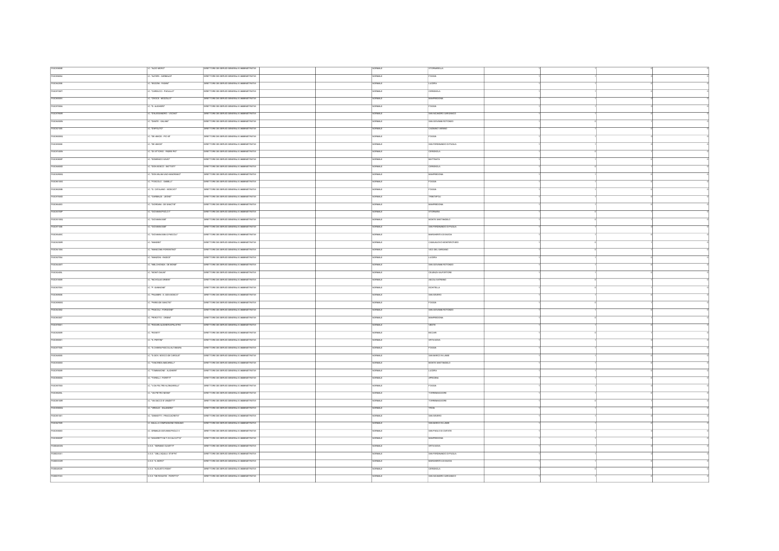| FGC83800E  | "ALDO MORO"                    | DRETTORE DEI SERVIZI GENERALI E AMMINISTRATM      | ORMALE            | <b>STORNARELLA</b>                |  |  |
|------------|--------------------------------|---------------------------------------------------|-------------------|-----------------------------------|--|--|
| FGIC855004 | . W.FERI-GARBALDT              | IRETTORE DEI SERVIZI GENERALI E AMMINISTRATM      | $m_{H}$           | <b>XGGA</b>                       |  |  |
| FGIC842006 | C. BOZZNI - FASANT             | DRETTORE DEI SERVIZI GENERALI E AMMINISTRATIV     | ORMALE            | LUCERA                            |  |  |
| FGIC87300T | C. "CARDUCCI - PAOLILLO"       | DRETTORE DEI SERVIZI GENERALI E AMMINISTRATM      | NORMALE           | CERIGNOLA                         |  |  |
|            |                                |                                                   |                   |                                   |  |  |
| FGIC88500V | C. "CROCE - MOZZLLO"           | RETTORE DEI SERVIZI GENERALI E AMMINISTRATM       | <b>JRMALE</b>     | <b><i>INVEREDONA</i></b>          |  |  |
| FGIC87000A | C. D. AUGHERT                  | DRETTORE DEI SERVIZI GENERALI E AMMINISTRATM      | NORMALE           | <b>FOGGIA</b>                     |  |  |
| FGICarsoon | .<br>TALESSANDRO - VOCINO      | DRETTORE DEI SERVIZI GENERALI E AMMINISTRATIV     | <b>SAMON</b>      | SAN NCANDRO GARGANCO              |  |  |
| FGIC84500N | C. "DANTE - GALIANI"           | DRETTORE DEI SERVIZI GENERALI E AMMNISTRATM       | HANALE            | SAN GIOVANNI ROTONDO              |  |  |
| FGC821005  | . TOWPOLITO*                   | DRETTORE DEI SERVIZI GENERALI E AMMNISTRATIV      | ORMALE            | CACRANO VARIANO                   |  |  |
| FGIC86000Q | .<br>- "DE AMCIS - PIO XI"     | ORETTORE DEI SERVIZI GENERALI E AMMNISTRATM       | news <sup>1</sup> | FOODA                             |  |  |
| FGC855008  | C. THE MACKY                   | DIRETTORE DELSERVATIONNERALLE AMMINISTRATIVI      | NORMALE           | <b>SAN FERDINANDO DI PEICI IA</b> |  |  |
| FGIC87400N | . "DIVITTORIO - PADRE PIO"     | WRETTORE DEI SERVIZI GENERALI E AWWINISTRATIV     | ORMALE            | <b>ZERIGNOLA</b>                  |  |  |
|            |                                |                                                   |                   |                                   |  |  |
| FGC80800P  | C. "DOMENICO SAVIO"            | ORETTORE DEI SERVIZI GENERALI E AMMINISTRATM      | <b>STATION</b>    | <b>MATTINATA</b>                  |  |  |
| FGIC84600D | C. DON BOSCO - BATTISTE        | DRETTORE DEI SERVIZI GENERALI E AMMINISTRATM      | NORMALE           | CERIGNOLA                         |  |  |
| FGIC82900Q | C. TOON MILANI UNO+MAIORANO    | WETTORE DEI SERVIZI GENERALI E AMMINISTRATM       | <b>STARIO</b>     | <b>MANFREDONIA</b>                |  |  |
| FGIC86100G | TOSCOLO - GABELLE              | IRETTORE DEI SERVIZI GENERALI E AMMINISTRATM      | ORMALE            | <b>OGGIA</b>                      |  |  |
| FGC862008  | IC. "G. CATALANO - MOSCATI"    | DRETTORE DEI SERVIZI GENERALI E AMMINISTRATM      | NORMALE           | FOCCIA                            |  |  |
| FGIC87500D | C. "GARBALDI - LEONE"          | DRETTORE DEI SERVIZI GENERALI E AMMNISTRATM       | NORMALE           | <b>TRINITAPOLI</b>                |  |  |
| FGIC854003 | . "GIORDAN - DE SANCTIS"       | DRETTORE DEI SERVIZI GENERALIE AMMINISTRATM       | ORMALE            | <b>WIFREDONIA</b>                 |  |  |
| FGIC&STOOP | IC. "GIOVANNI PAOLO F          | DIRETTORE DEI SERVIZI GENERALI E AMMINISTRATM     | NORMALE           | <b>STORNARA</b>                   |  |  |
| FOCASSION  | C. TOOWING YOF                 | DRETTORE DEI SERVIZI GENERALI E AMMINISTRATM      | NORMAL F          | MONTE SANTANGELO                  |  |  |
|            |                                |                                                   |                   |                                   |  |  |
| FGIC871006 | . GIOVANN XXII'                | RETTORE DEI SERVIZI GENERALI E AMMNISTRATM        | ORMALE            | SAN FERDINANDO DI PUGLIA          |  |  |
| FGIC85400C | C. GIOVANNI XXII-G PASCOLIT    | DRETTORE DEI SERVIZI GENERALI E AMMINISTRATIV     | <b>VORMALE</b>    | MARGHERITA DI SAVOIA              |  |  |
| FGIC8230DR | . WANDES"                      | DRETTORE DEI SERVIZI GENERALI E AMMINISTRATM      | VORMALE           | CASALNUOVO MONTEROTARO            |  |  |
| FGIC84100A | C. "MANCONE-FIORENTINO"        | DIRETTORE DEI SERVIZI GENERALIE AMMINISTRATM      | NORMALE           | VICO DEL GARGANO                  |  |  |
| FGIC827004 | . "MANZONI - RADICE"           | WETTORE DEI SERVIZI GENERALI E AWWINISTRATIV      | ORMALE            | <b>LUCERA</b>                     |  |  |
| FGIC84400T | IC. WELCHONDA - DE BONS"       | DRETTORE DEI SERVIZI GENERALI E AMMINISTRATM      | VORMALE           | SAN GIOVANNI ROTONDO              |  |  |
| FGIC82400L | C. "MONTI DAUNE                | DRETTORE DEI SERVIZI GENERALIE AMMNISTRATM        | VORMALE           | CELENZAVALFORTORE                 |  |  |
|            |                                |                                                   |                   |                                   |  |  |
| FGICatacco | C. TNICHOLAS GREEN"            | DRETTORE DEI SERVIZI GENERALI E AMMINISTRATM      | ORMALE            | ASCOLI SATRIANO                   |  |  |
| FGIC80700V | I.C. 'P. GIANNONE'             | DIRETTORE DEI SERVIZI GENERALI E AMMINISTRATM     | NORMALE           | <b>BOHTELLA</b>                   |  |  |
| FGC889006  | . PALMERI - S. GIOV.BOSCO"     | WETTORE DEI SERVIZI GENERALI E AMMAISTRATIV       | ORMALE            | SAN SEVERO                        |  |  |
| FGIC85900G | .<br>TPARISI DE SANCTIST       | ORETTORE DEI SERVIZI GENERALI E AMMINISTRATM      | VORMALE           | <b>FOGGIA</b>                     |  |  |
| FGIC843002 | "PASCOLI - FORGIONE"           | WETTORE DEI SERVIZI GENERALIE AMMINISTRATM        | <b>TOLALE</b>     | SAN GIOVANNI ROTONDO              |  |  |
| FGC853007  | . PEROTTO - ORSNF              | RETTORE DEI SERVIZI GENERALI E AMMINISTRATM       |                   | <b>MANFREDONA</b>                 |  |  |
| FGIC878001 | . RODARIALIGHERI-SPALATRO      | ORETTORE DEI SERVIZI GENERALI E AMMINISTRATM      | <b>NORMALE</b>    | VESTE                             |  |  |
| FGIC820009 | C. ROSETT                      | DRETTORE DEI SERVIZI GENERALI E AMMINISTRATM      | ORMALE            | <b>BICCARD</b>                    |  |  |
|            |                                |                                                   |                   |                                   |  |  |
| FGIC880001 | LC. 'S. PERTINT                | DRETTORE DEI SERVIZI GENERALI E AMMINISTRATIVI    | <b>NORMALE</b>    | ORTANOVA                          |  |  |
| FGC877005  | C. "S. CHIARA-PASCOLI-ALTAMURA | DRETTORE DEI SERVIZI GENERALI E AMMINISTRATM      | <b>VORMALE</b>    | <b>FOGGIA</b>                     |  |  |
| FGIC848005 | C. 'S GOV. BOSCO-DE CAROLIS'   | DRETTORE DEI SERVIZI GENERALI E AMMINISTRATIVI    | ORMALE            | SAN MARCO IN LAMB                 |  |  |
| FGC83000X  | C. TANCREDI-MACARELLE          | DRETTORE DEI SERVIZI GENERALI E AMMINISTRATM      | <b>VORMALE</b>    | MONTE SANTANGELO                  |  |  |
| FGICareco  | C. TOMMSONE - ALIGHERIT        | <b>IRETTORE DEI SERVIZI GENERALIE AMMNISTRATM</b> | <b>VORMALE</b>    | LUCERA                            |  |  |
| FGIC88800A | C. TORELLI - FIORITTE          | DRETTORE DEI SERVIZI GENERALI E AMMNISTRATM       | NORMALE           | APRICENA                          |  |  |
| FGC85700X  | C. V.DAFELTRE-N.ZNGARELLP      | ORETTORE DEI SERVIZI GENERALI E AMMINISTRATIV     | <b>VORMALE</b>    | <b>FOGGIA</b>                     |  |  |
| FGIC88200L | IC. "VA PETRO NENNE"           | DRETTORE DEI SERVIZI GENERALI E AMMNISTRATM       | NORMALE           | TORREMAGGIORE                     |  |  |
|            | C. VA SACCO E VANZETTI"        | DRETTORE DEI SERVIZI GENERALI E AMMINISTRATIV     | VORMALE           | TORREMAGGIORE                     |  |  |
| FGIC88100R |                                |                                                   |                   |                                   |  |  |
| FGIC85800Q | C. VIRGLIO - SALANDRA*         | DRETTORE DEI SERVIZI GENERALIE AMMINISTRATM       | <b>3JAMPOK</b>    | <b>FROIA</b>                      |  |  |
| FGIC851001 | LC. "ZANNOTTI - FRACCACRETA"   | DIRETTORE DEI SERVIZI GENERALI E AMMINISTRATM     | NORMALE           | SAN SEVERO                        |  |  |
| FGIC847009 | IC. BALLLA COMPAGNONE RIGNANO  | DRETTORE DEI SERVIZI GENERALI E AMMINISTRATIV     | VORMALE           | SAN MARCO IN LAMB                 |  |  |
| FGIC835003 | C. GRIMALDI-GIOVANNI PAOLO II  | DRETTORE DEI SERVIZI GENERALI E AMMINISTRATM      | NORMALE           | SAN PACLO DI CMTATE               |  |  |
| FGIC85500P | C."UNGARETTI-M.T.DI CALCUTTA"  | IRETTORE DEI SERVIZI GENERALI E AMMINISTRATM      | <b>SAMPIO</b>     | MANFREDONA                        |  |  |
| FGBD4600N  | U.S.S. "ADRAND OLIVETTI"       | WEITTORE DEI SERVIZI GENERALI E AMMINISTRATM      | NORMALE           | ORTANOVA                          |  |  |
| FGB023001  | U.S.S. " DELL'AQUEA STAFFA"    | WETTORE DEI SERVIZI GENERALI E AMMINISTRATM       | <b>SAMON</b>      | <b>RAN FERDINANDO DI PERSI IA</b> |  |  |
| FGB05300R  | USS 'A MORO'                   | WETTORE DEI SERVIZI GENERALI E AMMINISTRATM       | <b>HAMLE</b>      | ARCHERITA DI SAVOIA               |  |  |
|            |                                |                                                   |                   |                                   |  |  |
| FGB048009  | <b>U.S.S. "AUGUSTO RIGHT</b>   | DRETTORE DEI SERVIZI GENERALIE AMMINISTRATM       | <b>ORMALE</b>     | <b>CERIGNOLA</b>                  |  |  |
| FGB007003  | ILS.S. "DE ROGATS - FIORITTO"  | DRETTORE DEI SERVIZI GENERALIE AMMINISTRATM       | ORMALE            | SAN NCANDRO GARGANICO             |  |  |
|            |                                |                                                   |                   |                                   |  |  |